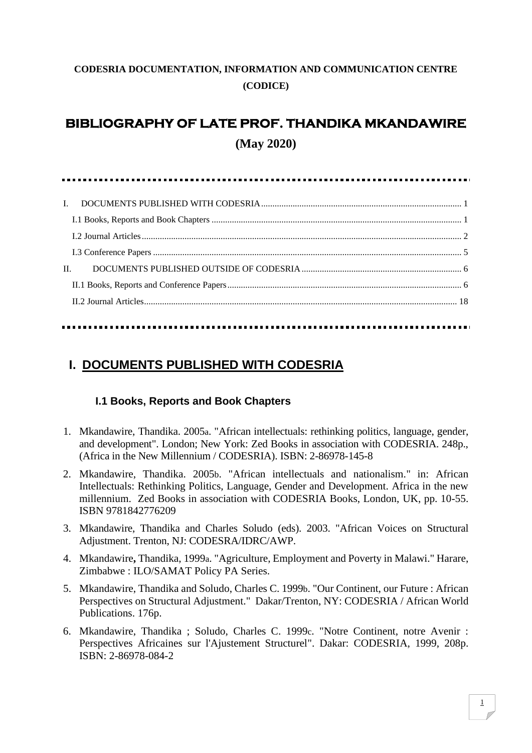## **CODESRIA DOCUMENTATION, INFORMATION AND COMMUNICATION CENTRE (CODICE)**

# **BIBLIOGRAPHY OF LATE PROF. THANDIKA MKANDAWIRE (May 2020)**

| $\Pi$ . |  |
|---------|--|
|         |  |
|         |  |
|         |  |
|         |  |

# <span id="page-0-0"></span>**I. DOCUMENTS PUBLISHED WITH CODESRIA**

## **I.1 Books, Reports and Book Chapters**

- <span id="page-0-1"></span>1. Mkandawire, Thandika. 2005a. "African intellectuals: rethinking politics, language, gender, and development". London; New York: Zed Books in association with CODESRIA. 248p., (Africa in the New Millennium / CODESRIA). ISBN: 2-86978-145-8
- 2. Mkandawire, Thandika. 2005b. "African intellectuals and nationalism." in: African Intellectuals: Rethinking Politics, Language, Gender and Development. Africa in the new millennium. Zed Books in association with CODESRIA Books, London, UK, pp. 10-55. ISBN 9781842776209
- 3. Mkandawire, Thandika and Charles Soludo (eds). 2003. "African Voices on Structural Adjustment. Trenton, NJ: CODESRA/IDRC/AWP.
- 4. Mkandawire**,** Thandika, 1999a. "Agriculture, Employment and Poverty in Malawi." Harare, Zimbabwe : ILO/SAMAT Policy PA Series.
- 5. Mkandawire, Thandika and Soludo, Charles C. 1999b. "Our Continent, our Future : African Perspectives on Structural Adjustment." Dakar/Trenton, NY: CODESRIA / African World Publications. 176p.
- 6. Mkandawire, Thandika ; Soludo, Charles C. 1999c. "Notre Continent, notre Avenir : Perspectives Africaines sur l'Ajustement Structurel". Dakar: CODESRIA, 1999, 208p. ISBN: 2-86978-084-2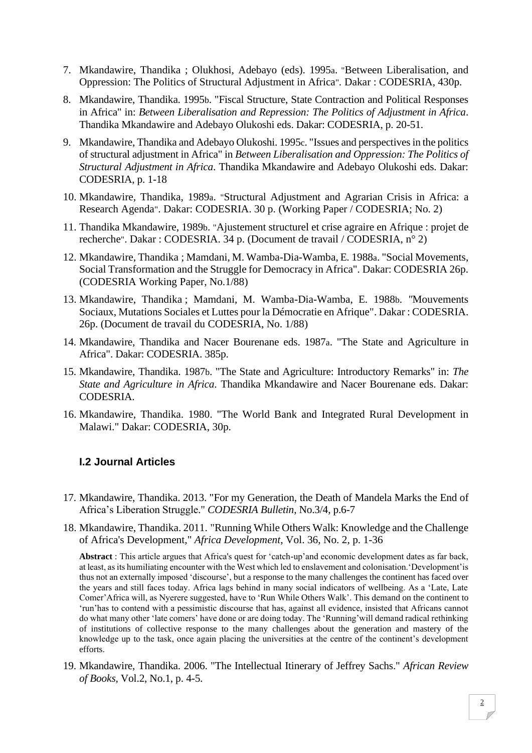- 7. Mkandawire, Thandika ; Olukhosi, Adebayo (eds). 1995a. "Between Liberalisation, and Oppression: The Politics of Structural Adjustment in Africa"*.* Dakar : CODESRIA, 430p.
- 8. Mkandawire, Thandika. 1995b. "Fiscal Structure, State Contraction and Political Responses in Africa" in: *Between Liberalisation and Repression: The Politics of Adjustment in Africa*. Thandika Mkandawire and Adebayo Olukoshi eds. Dakar: CODESRIA, p. 20-51.
- 9. Mkandawire, Thandika and Adebayo Olukoshi. 1995c. "Issues and perspectives in the politics of structural adjustment in Africa" in *Between Liberalisation and Oppression: The Politics of Structural Adjustment in Africa*. Thandika Mkandawire and Adebayo Olukoshi eds. Dakar: CODESRIA, p. 1-18
- 10. Mkandawire, Thandika, 1989a. "Structural Adjustment and Agrarian Crisis in Africa: a Research Agenda". Dakar: CODESRIA. 30 p. (Working Paper / CODESRIA; No. 2)
- 11. Thandika Mkandawire, 1989b. "Ajustement structurel et crise agraire en Afrique : projet de recherche". Dakar : CODESRIA. 34 p. (Document de travail / CODESRIA, n° 2)
- 12. Mkandawire, Thandika ; Mamdani, M. Wamba-Dia-Wamba, E*.* 1988a. "Social Movements, Social Transformation and the Struggle for Democracy in Africa". Dakar: CODESRIA 26p. (CODESRIA Working Paper, No.1/88)
- 13. Mkandawire, Thandika ; Mamdani, M. Wamba-Dia-Wamba, E*.* 1988b. *"*Mouvements Sociaux, Mutations Sociales et Luttes pour la Démocratie en Afrique". Dakar : CODESRIA. 26p. (Document de travail du CODESRIA, No. 1/88)
- 14. Mkandawire, Thandika and Nacer Bourenane eds. 1987a. "The State and Agriculture in Africa". Dakar: CODESRIA. 385p.
- 15. Mkandawire, Thandika. 1987b. "The State and Agriculture: Introductory Remarks" in: *The State and Agriculture in Africa*. Thandika Mkandawire and Nacer Bourenane eds. Dakar: CODESRIA.
- 16. Mkandawire, Thandika. 1980. "The World Bank and Integrated Rural Development in Malawi." Dakar: CODESRIA, 30p.

### <span id="page-1-0"></span>**I.2 Journal Articles**

- 17. Mkandawire, Thandika. 2013. "For my Generation, the Death of Mandela Marks the End of Africa's Liberation Struggle." *CODESRIA Bulletin*, No.3/4, p.6-7
- 18. Mkandawire, Thandika. 2011. "Running While Others Walk: Knowledge and the Challenge of Africa's Development," *Africa Development*, Vol. 36, No. 2, p. 1-36

**Abstract** : This article argues that Africa's quest for 'catch-up'and economic development dates as far back, at least, as its humiliating encounter with the West which led to enslavement and colonisation.'Development'is thus not an externally imposed 'discourse', but a response to the many challenges the continent has faced over the years and still faces today. Africa lags behind in many social indicators of wellbeing. As a 'Late, Late Comer'Africa will, as Nyerere suggested, have to 'Run While Others Walk'. This demand on the continent to 'run'has to contend with a pessimistic discourse that has, against all evidence, insisted that Africans cannot do what many other 'late comers' have done or are doing today. The 'Running'will demand radical rethinking of institutions of collective response to the many challenges about the generation and mastery of the knowledge up to the task, once again placing the universities at the centre of the continent's development efforts.

19. Mkandawire, Thandika. 2006. "The Intellectual Itinerary of Jeffrey Sachs." *African Review of Books*, Vol.2, No.1, p. 4-5.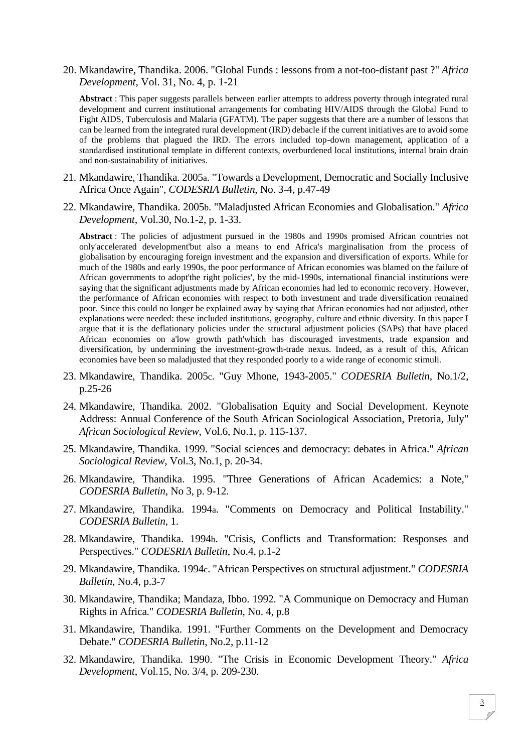20. Mkandawire, Thandika. 2006. "Global Funds : lessons from a not-too-distant past ?" *Africa Development,* Vol. 31, No. 4, p. 1-21

**Abstract** : This paper suggests parallels between earlier attempts to address poverty through integrated rural development and current institutional arrangements for combating HIV/AIDS through the Global Fund to Fight AIDS, Tuberculosis and Malaria (GFATM). The paper suggests that there are a number of lessons that can be learned from the integrated rural development (IRD) debacle if the current initiatives are to avoid some of the problems that plagued the IRD. The errors included top-down management, application of a standardised institutional template in different contexts, overburdened local institutions, internal brain drain and non-sustainability of initiatives.

- 21. Mkandawire, Thandika. 2005a. "Towards a Development, Democratic and Socially Inclusive Africa Once Again", *CODESRIA Bulletin*, No. 3-4, p.47-49
- 22. Mkandawire, Thandika. 2005b. "Maladjusted African Economies and Globalisation." *Africa Development*, Vol.30, No.1-2, p. 1-33.

**Abstract** : The policies of adjustment pursued in the 1980s and 1990s promised African countries not only'accelerated development'but also a means to end Africa's marginalisation from the process of globalisation by encouraging foreign investment and the expansion and diversification of exports. While for much of the 1980s and early 1990s, the poor performance of African economies was blamed on the failure of African governments to adopt'the right policies', by the mid-1990s, international financial institutions were saying that the significant adjustments made by African economies had led to economic recovery. However, the performance of African economies with respect to both investment and trade diversification remained poor. Since this could no longer be explained away by saying that African economies had not adjusted, other explanations were needed: these included institutions, geography, culture and ethnic diversity. In this paper I argue that it is the deflationary policies under the structural adjustment policies (SAPs) that have placed African economies on a'low growth path'which has discouraged investments, trade expansion and diversification, by undermining the investment-growth-trade nexus. Indeed, as a result of this, African economies have been so maladjusted that they responded poorly to a wide range of economic stimuli.

- 23. Mkandawire, Thandika. 2005c. "Guy Mhone, 1943-2005." *CODESRIA Bulletin*, No.1/2, p.25-26
- 24. Mkandawire, Thandika. 2002. "Globalisation Equity and Social Development. Keynote Address: Annual Conference of the South African Sociological Association, Pretoria, July" *African Sociological Review*, Vol.6, No.1, p. 115-137.
- 25. Mkandawire, Thandika. 1999. "Social sciences and democracy: debates in Africa." *African Sociological Review*, Vol.3, No.1, p. 20-34.
- 26. Mkandawire, Thandika. 1995. "Three Generations of African Academics: a Note," *CODESRIA Bulletin*, No 3, p. 9-12.
- 27. Mkandawire, Thandika. 1994a. "Comments on Democracy and Political Instability." *CODESRIA Bulletin*, 1.
- 28. Mkandawire, Thandika. 1994b. "Crisis, Conflicts and Transformation: Responses and Perspectives." *CODESRIA Bulletin*, No.4, p.1-2
- 29. Mkandawire, Thandika. 1994c. "African Perspectives on structural adjustment." *CODESRIA Bulletin*, No.4, p.3-7
- 30. Mkandawire, Thandika; Mandaza, Ibbo. 1992. "A Communique on Democracy and Human Rights in Africa." *CODESRIA Bulletin*, No. 4, p.8
- 31. Mkandawire, Thandika. 1991. "Further Comments on the Development and Democracy Debate." *CODESRIA Bulletin*, No.2, p.11-12
- 32. Mkandawire, Thandika. 1990. "The Crisis in Economic Development Theory." *Africa Development*, Vol.15, No. 3/4, p. 209-230.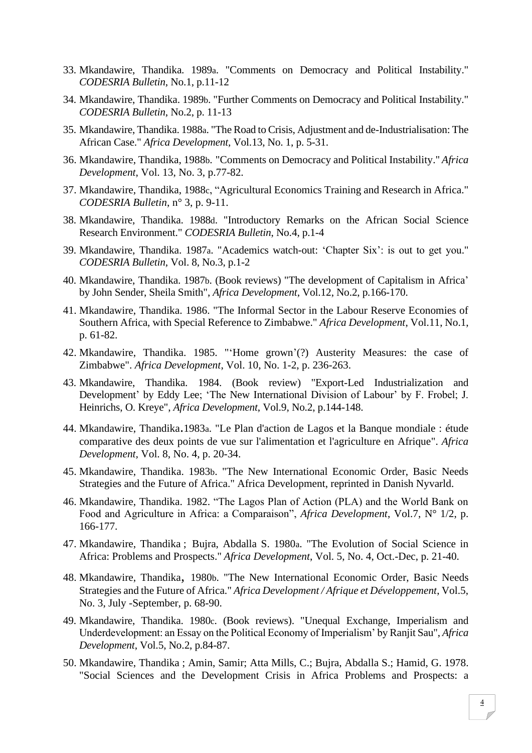- 33. Mkandawire, Thandika. 1989a. "Comments on Democracy and Political Instability." *CODESRIA Bulletin*, No.1, p.11-12
- 34. Mkandawire, Thandika. 1989b. "Further Comments on Democracy and Political Instability." *CODESRIA Bulletin*, No.2, p. 11-13
- 35. Mkandawire, Thandika. 1988a. "The Road to Crisis, Adjustment and de-Industrialisation: The African Case." *Africa Development,* Vol.13, No. 1, p. 5-31.
- 36. Mkandawire, Thandika, 1988b. "Comments on Democracy and Political Instability." *Africa Development*, Vol. 13, No. 3, p.77-82.
- 37. Mkandawire, Thandika, 1988c, "Agricultural Economics Training and Research in Africa." *CODESRIA Bulletin*, n° 3, p. 9-11.
- 38. Mkandawire, Thandika. 1988d. "Introductory Remarks on the African Social Science Research Environment." *CODESRIA Bulletin*, No.4, p.1-4
- 39. Mkandawire, Thandika. 1987a. "Academics watch-out: 'Chapter Six': is out to get you." *CODESRIA Bulletin*, Vol. 8, No.3, p.1-2
- 40. Mkandawire, Thandika. 1987b. (Book reviews) "The development of Capitalism in Africa' by John Sender, Sheila Smith", *Africa Development*, Vol.12, No.2, p.166-170.
- 41. Mkandawire, Thandika. 1986. "The Informal Sector in the Labour Reserve Economies of Southern Africa, with Special Reference to Zimbabwe." *Africa Development*, Vol.11, No.1, p. 61-82.
- 42. Mkandawire, Thandika. 1985. "'Home grown'(?) Austerity Measures: the case of Zimbabwe". *Africa Development*, Vol. 10, No. 1-2, p. 236-263.
- 43. Mkandawire, Thandika. 1984. (Book review) "Export-Led Industrialization and Development' by Eddy Lee; 'The New International Division of Labour' by F. Frobel; J. Heinrichs, O. Kreye", *Africa Development*, Vol.9, No.2, p.144-148.
- 44. Mkandawire, Thandika.1983a. "Le Plan d'action de Lagos et la Banque mondiale : étude comparative des deux points de vue sur l'alimentation et l'agriculture en Afrique". *Africa Development,* Vol. 8, No. 4, p. 20-34.
- 45. Mkandawire, Thandika. 1983b. "The New International Economic Order, Basic Needs Strategies and the Future of Africa." Africa Development, reprinted in Danish Nyvarld.
- 46. Mkandawire, Thandika. 1982. "The Lagos Plan of Action (PLA) and the World Bank on Food and Agriculture in Africa: a Comparaison", *Africa Development*, Vol.7, N° 1/2, p. 166-177.
- 47. Mkandawire, Thandika ; Bujra, Abdalla S. 1980a. "The Evolution of Social Science in Africa: Problems and Prospects." *Africa Development*, Vol. 5, No. 4, Oct.-Dec, p. 21-40.
- 48. Mkandawire, Thandika, 1980b. "The New International Economic Order, Basic Needs Strategies and the Future of Africa." *Africa Development / Afrique et Développement*, Vol.5, No. 3, July -September, p. 68-90.
- 49. Mkandawire, Thandika. 1980c. (Book reviews). "Unequal Exchange, Imperialism and Underdevelopment: an Essay on the Political Economy of Imperialism' by Ranjit Sau", *Africa Development*, Vol.5, No.2, p.84-87.
- 50. Mkandawire, Thandika ; Amin, Samir; Atta Mills, C.; Bujra, Abdalla S.; Hamid, G. 1978. "Social Sciences and the Development Crisis in Africa Problems and Prospects: a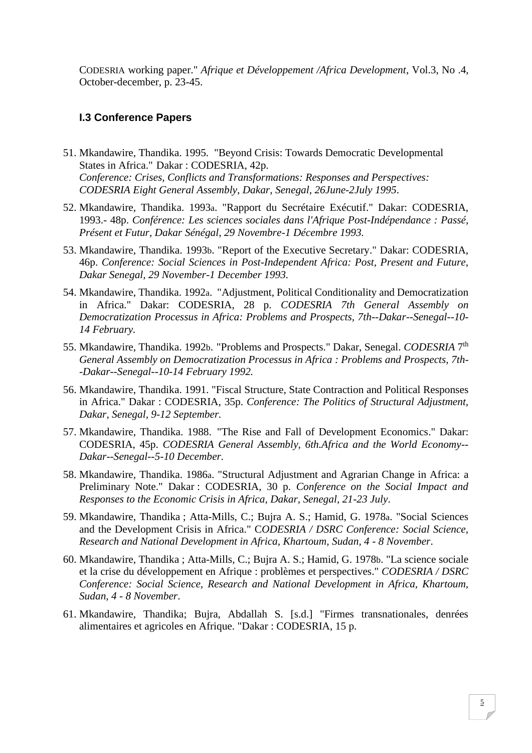CODESRIA working paper." *Afrique et Développement /Africa Development*, Vol.3, No .4, October-december, p. 23-45.

### <span id="page-4-0"></span>**I.3 Conference Papers**

- 51. Mkandawire, Thandika. 1995. "Beyond Crisis: Towards Democratic Developmental States in Africa." Dakar : CODESRIA, 42p. *Conference: Crises, Conflicts and Transformations: Responses and Perspectives: CODESRIA Eight General Assembly, Dakar, Senegal, 26June-2July 1995*.
- 52. Mkandawire, Thandika. 1993a. "Rapport du Secrétaire Exécutif." Dakar: CODESRIA, 1993.- 48p. *Conférence: Les sciences sociales dans l'Afrique Post-Indépendance : Passé, Présent et Futur, Dakar Sénégal, 29 Novembre-1 Décembre 1993.*
- 53. Mkandawire, Thandika. 1993b. "Report of the Executive Secretary." Dakar: CODESRIA, 46p. *Conference: Social Sciences in Post-Independent Africa: Post, Present and Future, Dakar Senegal, 29 November-1 December 1993.*
- 54. Mkandawire, Thandika. 1992a. "Adjustment, Political Conditionality and Democratization in Africa." Dakar: CODESRIA, 28 p. *CODESRIA 7th General Assembly on Democratization Processus in Africa: Problems and Prospects, 7th--Dakar--Senegal--10- 14 February.*
- 55. Mkandawire, Thandika. 1992b. "Problems and Prospects." Dakar, Senegal. *CODESRIA* 7 th *General Assembly on Democratization Processus in Africa : Problems and Prospects, 7th- -Dakar--Senegal--10-14 February 1992.*
- 56. Mkandawire, Thandika. 1991. "Fiscal Structure, State Contraction and Political Responses in Africa." Dakar : CODESRIA, 35p. *Conference: The Politics of Structural Adjustment, Dakar, Senegal, 9-12 September.*
- 57. Mkandawire, Thandika. 1988. "The Rise and Fall of Development Economics." Dakar: CODESRIA, 45p. *CODESRIA General Assembly, 6th.Africa and the World Economy-- Dakar--Senegal--5-10 December.*
- 58. Mkandawire, Thandika. 1986a. "Structural Adjustment and Agrarian Change in Africa: a Preliminary Note." Dakar : CODESRIA, 30 p. *Conference on the Social Impact and Responses to the Economic Crisis in Africa, Dakar, Senegal, 21-23 July*.
- 59. Mkandawire, Thandika ; Atta-Mills, C.; Bujra A. S.; Hamid, G. 1978a. "Social Sciences and the Development Crisis in Africa." C*ODESRIA / DSRC Conference: Social Science, Research and National Development in Africa, Khartoum, Sudan, 4 - 8 November*.
- 60. Mkandawire, Thandika ; Atta-Mills, C.; Bujra A. S.; Hamid, G. 1978b. "La science sociale et la crise du développement en Afrique : problèmes et perspectives." *CODESRIA / DSRC Conference: Social Science, Research and National Development in Africa, Khartoum, Sudan, 4 - 8 November*.
- 61. Mkandawire, Thandika; Bujra, Abdallah S. [s.d.] "Firmes transnationales, denrées alimentaires et agricoles en Afrique. "Dakar : CODESRIA, 15 p.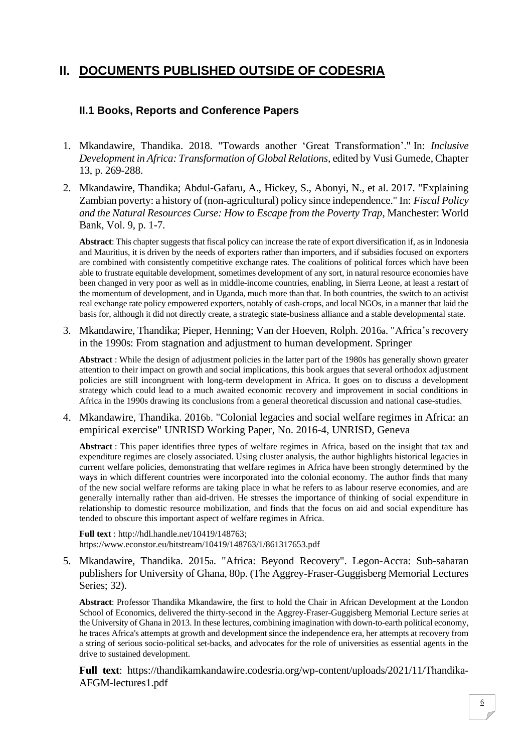## <span id="page-5-0"></span>**II. DOCUMENTS PUBLISHED OUTSIDE OF CODESRIA**

## <span id="page-5-1"></span>**II.1 Books, Reports and Conference Papers**

- 1. Mkandawire, Thandika. 2018. "Towards another 'Great Transformation'." In: *Inclusive Development in Africa: Transformation of Global Relations,* edited by Vusi Gumede, Chapter 13, p. 269-288.
- 2. Mkandawire, Thandika; Abdul-Gafaru, A., Hickey, S., Abonyi, N., et al. 2017. "Explaining Zambian poverty: a history of (non-agricultural) policy since independence." In: *Fiscal Policy and the Natural Resources Curse: How to Escape from the Poverty Trap*, Manchester: World Bank, Vol. 9, p. 1-7.

**Abstract**: This chapter suggests that fiscal policy can increase the rate of export diversification if, as in Indonesia and Mauritius, it is driven by the needs of exporters rather than importers, and if subsidies focused on exporters are combined with consistently competitive exchange rates. The coalitions of political forces which have been able to frustrate equitable development, sometimes development of any sort, in natural resource economies have been changed in very poor as well as in middle-income countries, enabling, in Sierra Leone, at least a restart of the momentum of development, and in Uganda, much more than that. In both countries, the switch to an activist real exchange rate policy empowered exporters, notably of cash-crops, and local NGOs, in a manner that laid the basis for, although it did not directly create, a strategic state-business alliance and a stable developmental state.

3. Mkandawire, Thandika; Pieper, Henning; Van der Hoeven, Rolph. 2016a. "Africa's recovery in the 1990s: From stagnation and adjustment to human development. Springer

**Abstract** : While the design of adjustment policies in the latter part of the 1980s has generally shown greater attention to their impact on growth and social implications, this book argues that several orthodox adjustment policies are still incongruent with long-term development in Africa. It goes on to discuss a development strategy which could lead to a much awaited economic recovery and improvement in social conditions in Africa in the 1990s drawing its conclusions from a general theoretical discussion and national case-studies.

4. Mkandawire, Thandika. 2016b. "Colonial legacies and social welfare regimes in Africa: an empirical exercise" UNRISD Working Paper, No. 2016-4, UNRISD, Geneva

**Abstract** : This paper identifies three types of welfare regimes in Africa, based on the insight that tax and expenditure regimes are closely associated. Using cluster analysis, the author highlights historical legacies in current welfare policies, demonstrating that welfare regimes in Africa have been strongly determined by the ways in which different countries were incorporated into the colonial economy. The author finds that many of the new social welfare reforms are taking place in what he refers to as labour reserve economies, and are generally internally rather than aid-driven. He stresses the importance of thinking of social expenditure in relationship to domestic resource mobilization, and finds that the focus on aid and social expenditure has tended to obscure this important aspect of welfare regimes in Africa.

**Full text** : [http://hdl.handle.net/10419/148763;](http://hdl.handle.net/10419/148763) <https://www.econstor.eu/bitstream/10419/148763/1/861317653.pdf>

5. Mkandawire, Thandika. 2015a. "Africa: Beyond Recovery". Legon-Accra: Sub-saharan publishers for University of Ghana, 80p. (The Aggrey-Fraser-Guggisberg Memorial Lectures Series; 32).

**Abstract**: Professor Thandika Mkandawire, the first to hold the Chair in African Development at the London School of Economics, delivered the thirty-second in the Aggrey-Fraser-Guggisberg Memorial Lecture series at the University of Ghana in 2013. In these lectures, combining imagination with down-to-earth political economy, he traces Africa's attempts at growth and development since the independence era, her attempts at recovery from a string of serious socio-political set-backs, and advocates for the role of universities as essential agents in the drive to sustained development.

**Full text**: https://thandikamkandawire.codesria.org/wp-content/uploads/2021/11/Thandika-AFGM-lectures1.pdf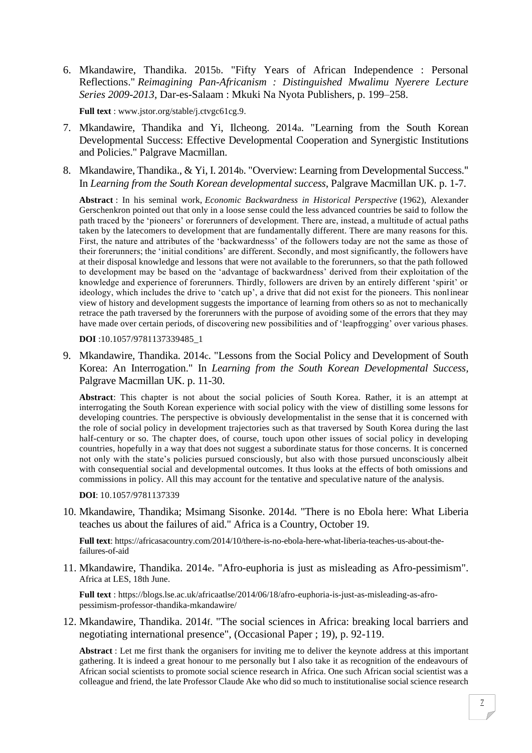6. Mkandawire, Thandika. 2015b. "Fifty Years of African Independence : Personal Reflections." *Reimagining Pan-Africanism : Distinguished Mwalimu Nyerere Lecture Series 2009-2013*, Dar-es-Salaam : Mkuki Na Nyota Publishers, p. 199–258.

**Full text** : www.jstor.org/stable/j.ctvgc61cg.9.

- 7. Mkandawire, Thandika and Yi, Ilcheong. 2014a. "Learning from the South Korean Developmental Success: Effective Developmental Cooperation and Synergistic Institutions and Policies." Palgrave Macmillan.
- 8. Mkandawire, Thandika., & Yi, I. 2014b. "Overview: Learning from Developmental Success." In *Learning from the South Korean developmental success*, Palgrave Macmillan UK. p. 1-7.

**Abstract** : In his seminal work, *Economic Backwardness in Historical Perspective* (1962), Alexander Gerschenkron pointed out that only in a loose sense could the less advanced countries be said to follow the path traced by the 'pioneers' or forerunners of development. There are, instead, a multitude of actual paths taken by the latecomers to development that are fundamentally different. There are many reasons for this. First, the nature and attributes of the 'backwardnesss' of the followers today are not the same as those of their forerunners; the 'initial conditions' are different. Secondly, and most significantly, the followers have at their disposal knowledge and lessons that were not available to the forerunners, so that the path followed to development may be based on the 'advantage of backwardness' derived from their exploitation of the knowledge and experience of forerunners. Thirdly, followers are driven by an entirely different 'spirit' or ideology, which includes the drive to 'catch up', a drive that did not exist for the pioneers. This nonlinear view of history and development suggests the importance of learning from others so as not to mechanically retrace the path traversed by the forerunners with the purpose of avoiding some of the errors that they may have made over certain periods, of discovering new possibilities and of 'leapfrogging' over various phases.

**DOI** [:10.1057/9781137339485\\_1](https://doi.org/10.1057/9781137339485_1)

9. Mkandawire, Thandika. 2014c. "Lessons from the Social Policy and Development of South Korea: An Interrogation." In *Learning from the South Korean Developmental Success,* Palgrave Macmillan UK. p. 11-30.

**Abstract**: This chapter is not about the social policies of South Korea. Rather, it is an attempt at interrogating the South Korean experience with social policy with the view of distilling some lessons for developing countries. The perspective is obviously developmentalist in the sense that it is concerned with the role of social policy in development trajectories such as that traversed by South Korea during the last half-century or so. The chapter does, of course, touch upon other issues of social policy in developing countries, hopefully in a way that does not suggest a subordinate status for those concerns. It is concerned not only with the state's policies pursued consciously, but also with those pursued unconsciously albeit with consequential social and developmental outcomes. It thus looks at the effects of both omissions and commissions in policy. All this may account for the tentative and speculative nature of the analysis.

**DOI**[: 10.1057/9781137339](https://doi.org/10.1057/9781137339)

10. Mkandawire, Thandika; Msimang Sisonke. 2014d. "There is no Ebola here: What Liberia teaches us about the failures of aid." Africa is a Country, October 19.

**Full text**[: https://africasacountry.com/2014/10/there-is-no-ebola-here-what-liberia-teaches-us-about-the](https://africasacountry.com/2014/10/there-is-no-ebola-here-what-liberia-teaches-us-about-the-failures-of-aid)[failures-of-aid](https://africasacountry.com/2014/10/there-is-no-ebola-here-what-liberia-teaches-us-about-the-failures-of-aid)

11. Mkandawire, Thandika. 2014e. "Afro-euphoria is just as misleading as Afro-pessimism". Africa at LES, 18th June.

**Full text** : [https://blogs.lse.ac.uk/africaatlse/2014/06/18/afro-euphoria-is-just-as-misleading-as-afro](https://blogs.lse.ac.uk/africaatlse/2014/06/18/afro-euphoria-is-just-as-misleading-as-afro-)pessimism-professor-thandika-mkandawire/

12. Mkandawire, Thandika. 2014f. "The social sciences in Africa: breaking local barriers and negotiating international presence", (Occasional Paper ; 19), p. 92-119.

**Abstract** : Let me first thank the organisers for inviting me to deliver the keynote address at this important gathering. It is indeed a great honour to me personally but I also take it as recognition of the endeavours of African social scientists to promote social science research in Africa. One such African social scientist was a colleague and friend, the late Professor Claude Ake who did so much to institutionalise social science research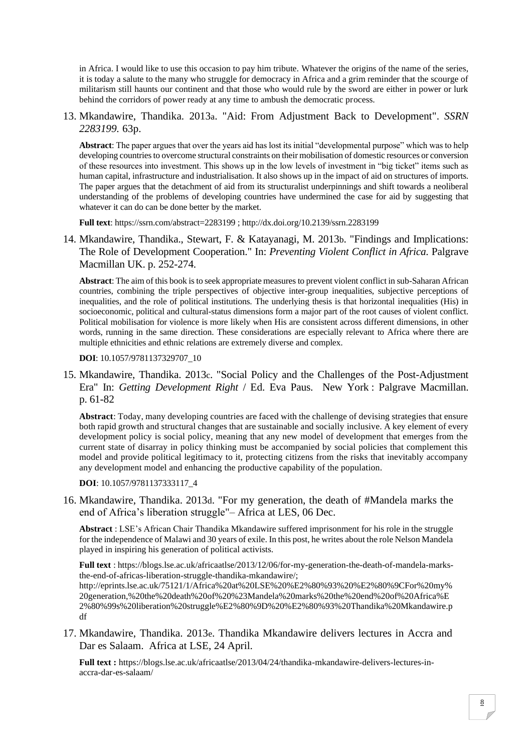in Africa. I would like to use this occasion to pay him tribute. Whatever the origins of the name of the series, it is today a salute to the many who struggle for democracy in Africa and a grim reminder that the scourge of militarism still haunts our continent and that those who would rule by the sword are either in power or lurk behind the corridors of power ready at any time to ambush the democratic process.

13. Mkandawire, Thandika. 2013a. "Aid: From Adjustment Back to Development". *SSRN 2283199.* 63p.

**Abstract**: The paper argues that over the years aid has lost its initial "developmental purpose" which was to help developing countries to overcome structural constraints on their mobilisation of domestic resources or conversion of these resources into investment. This shows up in the low levels of investment in "big ticket" items such as human capital, infrastructure and industrialisation. It also shows up in the impact of aid on structures of imports. The paper argues that the detachment of aid from its structuralist underpinnings and shift towards a neoliberal understanding of the problems of developing countries have undermined the case for aid by suggesting that whatever it can do can be done better by the market.

**Full text**: <https://ssrn.com/abstract=2283199> ; [http://dx.doi.org/10.2139/ssrn.2283199](https://dx.doi.org/10.2139/ssrn.2283199)

14. Mkandawire, Thandika., Stewart, F. & Katayanagi, M. 2013b. "Findings and Implications: The Role of Development Cooperation." In: *Preventing Violent Conflict in Africa.* Palgrave Macmillan UK. p. 252-274.

**Abstract**: The aim of this book is to seek appropriate measures to prevent violent conflict in sub-Saharan African countries, combining the triple perspectives of objective inter-group inequalities, subjective perceptions of inequalities, and the role of political institutions. The underlying thesis is that horizontal inequalities (His) in socioeconomic, political and cultural-status dimensions form a major part of the root causes of violent conflict. Political mobilisation for violence is more likely when His are consistent across different dimensions, in other words, running in the same direction. These considerations are especially relevant to Africa where there are multiple ethnicities and ethnic relations are extremely diverse and complex.

**DOI**: [10.1057/9781137329707\\_10](https://www.researchgate.net/deref/http%3A%2F%2Fdx.doi.org%2F10.1057%2F9781137329707_10)

15. Mkandawire, Thandika. 2013c. "Social Policy and the Challenges of the Post-Adjustment Era" In: *Getting Development Right* / Ed. Eva Paus. New York : Palgrave Macmillan. p. 61-82

**Abstract**: Today, many developing countries are faced with the challenge of devising strategies that ensure both rapid growth and structural changes that are sustainable and socially inclusive. A key element of every development policy is social policy, meaning that any new model of development that emerges from the current state of disarray in policy thinking must be accompanied by social policies that complement this model and provide political legitimacy to it, protecting citizens from the risks that inevitably accompany any development model and enhancing the productive capability of the population.

**DOI**: [10.1057/9781137333117\\_4](https://www.researchgate.net/deref/http%3A%2F%2Fdx.doi.org%2F10.1057%2F9781137333117_4)

16. Mkandawire, Thandika. 2013d. "For my generation, the death of #Mandela marks the end of Africa's liberation struggle"– Africa at LES, 06 Dec.

**Abstract** : LSE's African Chair Thandika Mkandawire suffered imprisonment for his role in the struggle for the independence of Malawi and 30 years of exile. In this post, he writes about the role Nelson Mandela played in inspiring his generation of political activists.

**Full text** : [https://blogs.lse.ac.uk/africaatlse/2013/12/06/for-my-generation-the-death-of-mandela-marks](https://blogs.lse.ac.uk/africaatlse/2013/12/06/for-my-generation-the-death-of-mandela-marks-the-end-of-africas-liberation-struggle-thandika-mkandawire/)[the-end-of-africas-liberation-struggle-thandika-mkandawire/;](https://blogs.lse.ac.uk/africaatlse/2013/12/06/for-my-generation-the-death-of-mandela-marks-the-end-of-africas-liberation-struggle-thandika-mkandawire/)

[http://eprints.lse.ac.uk/75121/1/Africa%20at%20LSE%20%E2%80%93%20%E2%80%9CFor%20my%](http://eprints.lse.ac.uk/75121/1/Africa%20at%20LSE%20%E2%80%93%20%E2%80%9CFor%20my%20generation,%20the%20death%20of%20%23Mandela%20marks%20the%20end%20of%20Africa%E2%80%99s%20liberation%20struggle%E2%80%9D%20%E2%80%93%20Thandika%20Mkandawire.pdf) [20generation,%20the%20death%20of%20%23Mandela%20marks%20the%20end%20of%20Africa%E](http://eprints.lse.ac.uk/75121/1/Africa%20at%20LSE%20%E2%80%93%20%E2%80%9CFor%20my%20generation,%20the%20death%20of%20%23Mandela%20marks%20the%20end%20of%20Africa%E2%80%99s%20liberation%20struggle%E2%80%9D%20%E2%80%93%20Thandika%20Mkandawire.pdf) [2%80%99s%20liberation%20struggle%E2%80%9D%20%E2%80%93%20Thandika%20Mkandawire.p](http://eprints.lse.ac.uk/75121/1/Africa%20at%20LSE%20%E2%80%93%20%E2%80%9CFor%20my%20generation,%20the%20death%20of%20%23Mandela%20marks%20the%20end%20of%20Africa%E2%80%99s%20liberation%20struggle%E2%80%9D%20%E2%80%93%20Thandika%20Mkandawire.pdf) [df](http://eprints.lse.ac.uk/75121/1/Africa%20at%20LSE%20%E2%80%93%20%E2%80%9CFor%20my%20generation,%20the%20death%20of%20%23Mandela%20marks%20the%20end%20of%20Africa%E2%80%99s%20liberation%20struggle%E2%80%9D%20%E2%80%93%20Thandika%20Mkandawire.pdf)

17. Mkandawire, Thandika. 2013e. Thandika Mkandawire delivers lectures in Accra and Dar es Salaam. Africa at LSE, 24 April.

**Full text :** [https://blogs.lse.ac.uk/africaatlse/2013/04/24/thandika-mkandawire-delivers-lectures-in](https://blogs.lse.ac.uk/africaatlse/2013/04/24/thandika-mkandawire-delivers-lectures-in-accra-dar-es-salaam/)[accra-dar-es-salaam/](https://blogs.lse.ac.uk/africaatlse/2013/04/24/thandika-mkandawire-delivers-lectures-in-accra-dar-es-salaam/)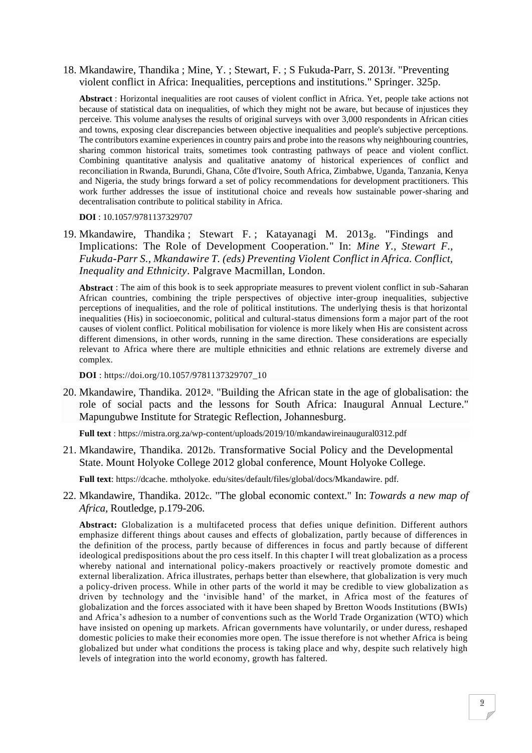18. Mkandawire, Thandika ; Mine, Y. ; Stewart, F. ; S Fukuda-Parr, S. 2013f. "Preventing violent conflict in Africa: Inequalities, perceptions and institutions." Springer. 325p.

**Abstract** : Horizontal inequalities are root causes of violent conflict in Africa. Yet, people take actions not because of statistical data on inequalities, of which they might not be aware, but because of injustices they perceive. This volume analyses the results of original surveys with over 3,000 respondents in African cities and towns, exposing clear discrepancies between objective inequalities and people's subjective perceptions. The contributors examine experiences in country pairs and probe into the reasons why neighbouring countries, sharing common historical traits, sometimes took contrasting pathways of peace and violent conflict. Combining quantitative analysis and qualitative anatomy of historical experiences of conflict and reconciliation in Rwanda, Burundi, Ghana, Côte d'Ivoire, South Africa, Zimbabwe, Uganda, Tanzania, Kenya and Nigeria, the study brings forward a set of policy recommendations for development practitioners. This work further addresses the issue of institutional choice and reveals how sustainable power-sharing and decentralisation contribute to political stability in Africa.

**DOI** : 10.1057/9781137329707

19. Mkandawire, Thandika ; Stewart F. ; Katayanagi M. 2013g. "Findings and Implications: The Role of Development Cooperation." In: *Mine Y., Stewart F., Fukuda-Parr S., Mkandawire T. (eds) Preventing Violent Conflict in Africa. Conflict, Inequality and Ethnicity*. Palgrave Macmillan, London.

**Abstract** : The aim of this book is to seek appropriate measures to prevent violent conflict in sub-Saharan African countries, combining the triple perspectives of objective inter-group inequalities, subjective perceptions of inequalities, and the role of political institutions. The underlying thesis is that horizontal inequalities (His) in socioeconomic, political and cultural-status dimensions form a major part of the root causes of violent conflict. Political mobilisation for violence is more likely when His are consistent across different dimensions, in other words, running in the same direction. These considerations are especially relevant to Africa where there are multiple ethnicities and ethnic relations are extremely diverse and complex.

**DOI** : [https://doi.org/10.1057/9781137329707\\_10](https://doi.org/10.1057/9781137329707_10)

20. Mkandawire, Thandika. 2012a. "Building the African state in the age of globalisation: the role of social pacts and the lessons for South Africa: Inaugural Annual Lecture." Mapungubwe Institute for Strategic Reflection, Johannesburg.

**Full text** :<https://mistra.org.za/wp-content/uploads/2019/10/mkandawireinaugural0312.pdf>

21. Mkandawire, Thandika. 2012b. Transformative Social Policy and the Developmental State. Mount Holyoke College 2012 global conference, Mount Holyoke College.

**Full text**: https://dcache. mtholyoke. edu/sites/default/files/global/docs/Mkandawire. pdf.

22. Mkandawire, Thandika. 2012c. "The global economic context." In: *Towards a new map of Africa,* Routledge, p.179-206.

**Abstract:** Globalization is a multifaceted process that defies unique definition. Different authors emphasize different things about causes and effects of globalization, partly because of differences in the definition of the process, partly because of differences in focus and partly because of different ideological predispositions about the pro cess itself. In this chapter I will treat globalization as a process whereby national and international policy-makers proactively or reactively promote domestic and external liberalization. Africa illustrates, perhaps better than elsewhere, that globalization is very much a policy-driven process. While in other parts of the world it may be credible to view globalization a s driven by technology and the 'invisible hand' of the market, in Africa most of the features of globalization and the forces associated with it have been shaped by Bretton Woods Institutions (BWIs) and Africa's adhesion to a number of conventions such as the World Trade Organization (WTO) which have insisted on opening up markets. African governments have voluntarily, or under duress, reshaped domestic policies to make their economies more open. The issue therefore is not whether Africa is being globalized but under what conditions the process is taking place and why, despite such relatively high levels of integration into the world economy, growth has faltered.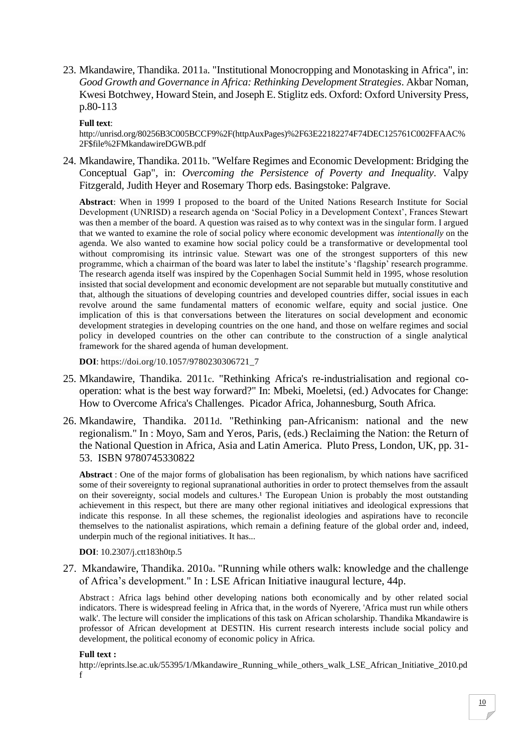23. Mkandawire, Thandika. 2011a. "Institutional Monocropping and Monotasking in Africa", in: *Good Growth and Governance in Africa: Rethinking Development Strategies*. Akbar Noman, Kwesi Botchwey, Howard Stein, and Joseph E. Stiglitz eds. Oxford: Oxford University Press, p.80-113

#### **Full text**:

[http://unrisd.org/80256B3C005BCCF9%2F\(httpAuxPages\)%2F63E22182274F74DEC125761C002FFAAC%](http://unrisd.org/80256B3C005BCCF9%2F(httpAuxPages)%2F63E22182274F74DEC125761C002FFAAC%2F$file%2FMkandawireDGWB.pdf) [2F\\$file%2FMkandawireDGWB.pdf](http://unrisd.org/80256B3C005BCCF9%2F(httpAuxPages)%2F63E22182274F74DEC125761C002FFAAC%2F$file%2FMkandawireDGWB.pdf)

24. Mkandawire, Thandika. 2011b. "Welfare Regimes and Economic Development: Bridging the Conceptual Gap", in: *Overcoming the Persistence of Poverty and Inequality*. Valpy Fitzgerald, Judith Heyer and Rosemary Thorp eds. Basingstoke: Palgrave.

**Abstract**: When in 1999 I proposed to the board of the United Nations Research Institute for Social Development (UNRISD) a research agenda on 'Social Policy in a Development Context', Frances Stewart was then a member of the board. A question was raised as to why context was in the singular form. I argued that we wanted to examine the role of social policy where economic development was *intentionally* on the agenda. We also wanted to examine how social policy could be a transformative or developmental tool without compromising its intrinsic value. Stewart was one of the strongest supporters of this new programme, which a chairman of the board was later to label the institute's 'flagship' research programme. The research agenda itself was inspired by the Copenhagen Social Summit held in 1995, whose resolution insisted that social development and economic development are not separable but mutually constitutive and that, although the situations of developing countries and developed countries differ, social issues in each revolve around the same fundamental matters of economic welfare, equity and social justice. One implication of this is that conversations between the literatures on social development and economic development strategies in developing countries on the one hand, and those on welfare regimes and social policy in developed countries on the other can contribute to the construction of a single analytical framework for the shared agenda of human development.

**DOI**: [https://doi.org/10.1057/9780230306721\\_7](https://doi.org/10.1057/9780230306721_7)

- 25. Mkandawire, Thandika. 2011c. "Rethinking Africa's re-industrialisation and regional cooperation: what is the best way forward?" In: Mbeki, Moeletsi, (ed.) Advocates for Change: How to Overcome Africa's Challenges. Picador Africa, Johannesburg, South Africa.
- 26. Mkandawire, Thandika. 2011d. "Rethinking pan-Africanism: national and the new regionalism." In : Moyo, Sam and Yeros, Paris, (eds.) Reclaiming the Nation: the Return of the National Question in Africa, Asia and Latin America. Pluto Press, London, UK, pp. 31- 53. ISBN 9780745330822

**Abstract** : One of the major forms of globalisation has been regionalism, by which nations have sacrificed some of their sovereignty to regional supranational authorities in order to protect themselves from the assault on their sovereignty, social models and cultures.<sup>1</sup> The European Union is probably the most outstanding achievement in this respect, but there are many other regional initiatives and ideological expressions that indicate this response. In all these schemes, the regionalist ideologies and aspirations have to reconcile themselves to the nationalist aspirations, which remain a defining feature of the global order and, indeed, underpin much of the regional initiatives. It has...

**DOI**: 10.2307/j.ctt183h0tp.5

27. Mkandawire, Thandika. 2010a. "Running while others walk: knowledge and the challenge of Africa's development." In : LSE African Initiative inaugural lecture, 44p.

Abstract : Africa lags behind other developing nations both economically and by other related social indicators. There is widespread feeling in Africa that, in the words of Nyerere, 'Africa must run while others walk'. The lecture will consider the implications of this task on African scholarship. Thandika Mkandawire is professor of African development at DESTIN. His current research interests include social policy and development, the political economy of economic policy in Africa.

#### **Full text :**

[http://eprints.lse.ac.uk/55395/1/Mkandawire\\_Running\\_while\\_others\\_walk\\_LSE\\_African\\_Initiative\\_2010.pd](http://eprints.lse.ac.uk/55395/1/Mkandawire_Running_while_others_walk_LSE_African_Initiative_2010.pdf) [f](http://eprints.lse.ac.uk/55395/1/Mkandawire_Running_while_others_walk_LSE_African_Initiative_2010.pdf)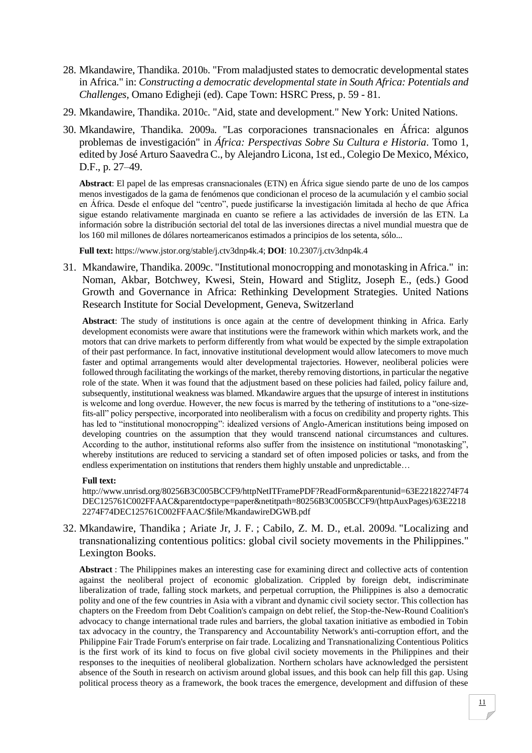- 28. Mkandawire, Thandika. 2010b. "From maladjusted states to democratic developmental states in Africa." in: *Constructing a democratic developmental state in South Africa: Potentials and Challenges,* Omano Edigheji (ed). Cape Town: HSRC Press, p. 59 - 81.
- 29. Mkandawire, Thandika. 2010c. "Aid, state and development." New York: United Nations.
- 30. Mkandawire, Thandika. 2009a. "Las corporaciones transnacionales en África: algunos problemas de investigación" in *África: Perspectivas Sobre Su Cultura e Historia*. Tomo 1, edited by José Arturo Saavedra C., by Alejandro Licona, 1st ed., Colegio De Mexico, México, D.F., p. 27–49.

**Abstract**: El papel de las empresas cransnacionales (ETN) en África sigue siendo parte de uno de los campos menos investigados de la gama de fenómenos que condicionan el proceso de la acumulación y el cambio social en África. Desde el enfoque del "centro", puede justificarse la investigación limitada al hecho de que África sigue estando relativamente marginada en cuanto se refiere a las actividades de inversión de las ETN. La información sobre la distribución sectorial del total de las inversiones directas a nivel mundial muestra que de los 160 mil millones de dólares norteamericanos estimados a principios de los setenta, sólo...

**Full text:** [https://www.jstor.org/stable/j.ctv3dnp4k.4;](https://www.jstor.org/stable/j.ctv3dnp4k.4) **DOI**: 10.2307/j.ctv3dnp4k.4

31. Mkandawire, Thandika. 2009c. "Institutional monocropping and monotasking in Africa." in: Noman, Akbar, Botchwey, Kwesi, Stein, Howard and Stiglitz, Joseph E., (eds.) Good Growth and Governance in Africa: Rethinking Development Strategies. United Nations Research Institute for Social Development, Geneva, Switzerland

**Abstract**: The study of institutions is once again at the centre of development thinking in Africa. Early development economists were aware that institutions were the framework within which markets work, and the motors that can drive markets to perform differently from what would be expected by the simple extrapolation of their past performance. In fact, innovative institutional development would allow latecomers to move much faster and optimal arrangements would alter developmental trajectories. However, neoliberal policies were followed through facilitating the workings of the market, thereby removing distortions, in particular the negative role of the state. When it was found that the adjustment based on these policies had failed, policy failure and, subsequently, institutional weakness was blamed. Mkandawire argues that the upsurge of interest in institutions is welcome and long overdue. However, the new focus is marred by the tethering of institutions to a "one-sizefits-all" policy perspective, incorporated into neoliberalism with a focus on credibility and property rights. This has led to "institutional monocropping": idealized versions of Anglo-American institutions being imposed on developing countries on the assumption that they would transcend national circumstances and cultures. According to the author, institutional reforms also suffer from the insistence on institutional "monotasking", whereby institutions are reduced to servicing a standard set of often imposed policies or tasks, and from the endless experimentation on institutions that renders them highly unstable and unpredictable…

### **Full text:**

[http://www.unrisd.org/80256B3C005BCCF9/httpNetITFramePDF?ReadForm&parentunid=63E22182274F74](http://www.unrisd.org/80256B3C005BCCF9/httpNetITFramePDF?ReadForm&parentunid=63E22182274F74DEC125761C002FFAAC&parentdoctype=paper&netitpath=80256B3C005BCCF9/(httpAuxPages)/63E22182274F74DEC125761C002FFAAC/$file/MkandawireDGWB.pdf) [DEC125761C002FFAAC&parentdoctype=paper&netitpath=80256B3C005BCCF9/\(httpAuxPages\)/63E2218](http://www.unrisd.org/80256B3C005BCCF9/httpNetITFramePDF?ReadForm&parentunid=63E22182274F74DEC125761C002FFAAC&parentdoctype=paper&netitpath=80256B3C005BCCF9/(httpAuxPages)/63E22182274F74DEC125761C002FFAAC/$file/MkandawireDGWB.pdf) [2274F74DEC125761C002FFAAC/\\$file/MkandawireDGWB.pdf](http://www.unrisd.org/80256B3C005BCCF9/httpNetITFramePDF?ReadForm&parentunid=63E22182274F74DEC125761C002FFAAC&parentdoctype=paper&netitpath=80256B3C005BCCF9/(httpAuxPages)/63E22182274F74DEC125761C002FFAAC/$file/MkandawireDGWB.pdf)

32. Mkandawire, Thandika ; Ariate Jr, J. F. ; Cabilo, Z. M. D., et.al. 2009d. "Localizing and transnationalizing contentious politics: global civil society movements in the Philippines." Lexington Books.

**Abstract** : The Philippines makes an interesting case for examining direct and collective acts of contention against the neoliberal project of economic globalization. Crippled by foreign debt, indiscriminate liberalization of trade, falling stock markets, and perpetual corruption, the Philippines is also a democratic polity and one of the few countries in Asia with a vibrant and dynamic civil society sector. This collection has chapters on the Freedom from Debt Coalition's campaign on debt relief, the Stop-the-New-Round Coalition's advocacy to change international trade rules and barriers, the global taxation initiative as embodied in Tobin tax advocacy in the country, the Transparency and Accountability Network's anti-corruption effort, and the Philippine Fair Trade Forum's enterprise on fair trade. Localizing and Transnationalizing Contentious Politics is the first work of its kind to focus on five global civil society movements in the Philippines and their responses to the inequities of neoliberal globalization. Northern scholars have acknowledged the persistent absence of the South in research on activism around global issues, and this book can help fill this gap. Using political process theory as a framework, the book traces the emergence, development and diffusion of these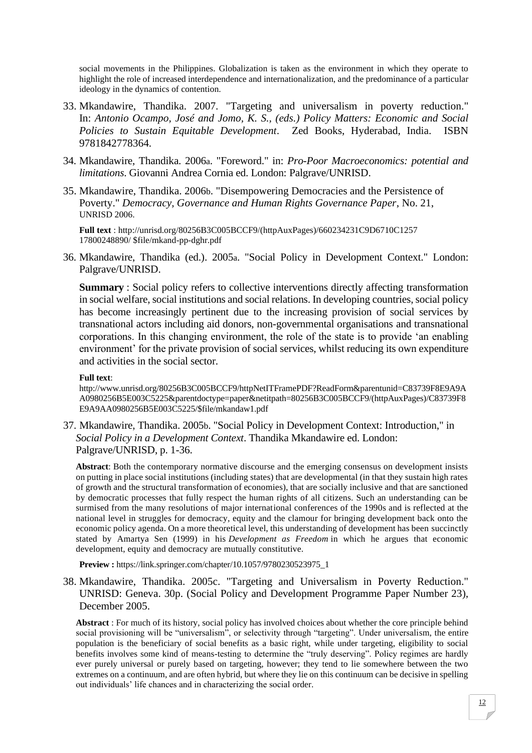social movements in the Philippines. Globalization is taken as the environment in which they operate to highlight the role of increased interdependence and internationalization, and the predominance of a particular ideology in the dynamics of contention.

- 33. Mkandawire, Thandika. 2007. "Targeting and universalism in poverty reduction." In: *Antonio Ocampo, José and Jomo, K. S., (eds.) Policy Matters: Economic and Social Policies to Sustain Equitable Development*. Zed Books, Hyderabad, India. ISBN 9781842778364.
- 34. Mkandawire, Thandika. 2006a. "Foreword." in: *Pro-Poor Macroeconomics: potential and limitations*. Giovanni Andrea Cornia ed. London: Palgrave/UNRISD.
- 35. Mkandawire, Thandika. 2006b. "Disempowering Democracies and the Persistence of Poverty." *Democracy, Governance and Human Rights Governance Paper*, No. 21, UNRISD 2006.

**Full text** : [http://unrisd.org/80256B3C005BCCF9/\(httpAuxPages\)/660234231C9D6710C1257](http://unrisd.org/80256B3C005BCCF9/(httpAuxPages)/660234231C9D6710C1257%2017800248890/%20$file/mkand-pp-dghr.pdf)  [17800248890/ \\$file/mkand-pp-dghr.pdf](http://unrisd.org/80256B3C005BCCF9/(httpAuxPages)/660234231C9D6710C1257%2017800248890/%20$file/mkand-pp-dghr.pdf)

36. Mkandawire, Thandika (ed.). 2005a. "Social Policy in Development Context." London: Palgrave/UNRISD.

**Summary** : Social policy refers to collective interventions directly affecting transformation in social welfare, social institutions and social relations. In developing countries, social policy has become increasingly pertinent due to the increasing provision of social services by transnational actors including aid donors, non-governmental organisations and transnational corporations. In this changing environment, the role of the state is to provide 'an enabling environment' for the private provision of social services, whilst reducing its own expenditure and activities in the social sector.

#### **Full text**:

[http://www.unrisd.org/80256B3C005BCCF9/httpNetITFramePDF?ReadForm&parentunid=C83739F8E9A9A](http://www.unrisd.org/80256B3C005BCCF9/httpNetITFramePDF?ReadForm&parentunid=C83739F8E9A9AA0980256B5E003C5225&parentdoctype=paper&netitpath=80256B3C005BCCF9/(httpAuxPages)/C83739F8E9A9AA0980256B5E003C5225/$file/mkandaw1.pdf) [A0980256B5E003C5225&parentdoctype=paper&netitpath=80256B3C005BCCF9/\(httpAuxPages\)/C83739F8](http://www.unrisd.org/80256B3C005BCCF9/httpNetITFramePDF?ReadForm&parentunid=C83739F8E9A9AA0980256B5E003C5225&parentdoctype=paper&netitpath=80256B3C005BCCF9/(httpAuxPages)/C83739F8E9A9AA0980256B5E003C5225/$file/mkandaw1.pdf) [E9A9AA0980256B5E003C5225/\\$file/mkandaw1.pdf](http://www.unrisd.org/80256B3C005BCCF9/httpNetITFramePDF?ReadForm&parentunid=C83739F8E9A9AA0980256B5E003C5225&parentdoctype=paper&netitpath=80256B3C005BCCF9/(httpAuxPages)/C83739F8E9A9AA0980256B5E003C5225/$file/mkandaw1.pdf)

37. Mkandawire, Thandika. 2005b. "Social Policy in Development Context: Introduction," in *Social Policy in a Development Context*. Thandika Mkandawire ed. London: Palgrave/UNRISD, p. 1-36.

**Abstract**: Both the contemporary normative discourse and the emerging consensus on development insists on putting in place social institutions (including states) that are developmental (in that they sustain high rates of growth and the structural transformation of economies), that are socially inclusive and that are sanctioned by democratic processes that fully respect the human rights of all citizens. Such an understanding can be surmised from the many resolutions of major international conferences of the 1990s and is reflected at the national level in struggles for democracy, equity and the clamour for bringing development back onto the economic policy agenda. On a more theoretical level, this understanding of development has been succinctly stated by Amartya Sen (1999) in his *Development as Freedom* in which he argues that economic development, equity and democracy are mutually constitutive.

**Preview :** [https://link.springer.com/chapter/10.1057/9780230523975\\_1](https://link.springer.com/chapter/10.1057/9780230523975_1)

38. Mkandawire, Thandika. 2005c. "Targeting and Universalism in Poverty Reduction." UNRISD: Geneva. 30p. (Social Policy and Development Programme Paper Number 23), December 2005.

**Abstract** : For much of its history, social policy has involved choices about whether the core principle behind social provisioning will be "universalism", or selectivity through "targeting". Under universalism, the entire population is the beneficiary of social benefits as a basic right, while under targeting, eligibility to social benefits involves some kind of means-testing to determine the "truly deserving". Policy regimes are hardly ever purely universal or purely based on targeting, however; they tend to lie somewhere between the two extremes on a continuum, and are often hybrid, but where they lie on this continuum can be decisive in spelling out individuals' life chances and in characterizing the social order.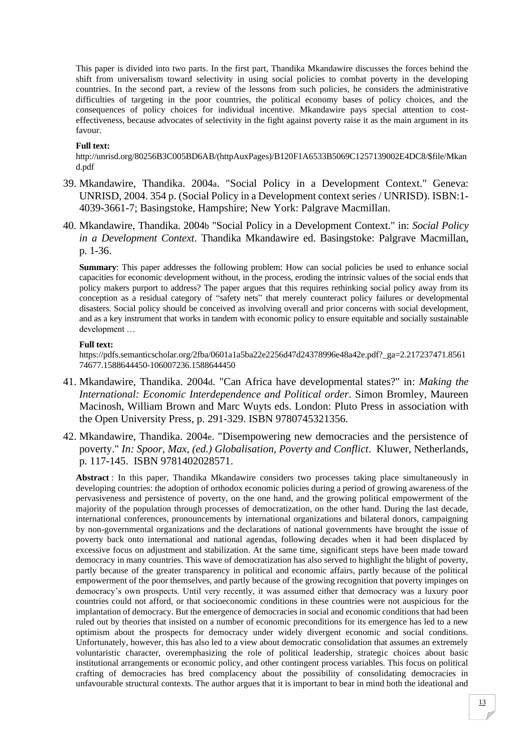This paper is divided into two parts. In the first part, Thandika Mkandawire discusses the forces behind the shift from universalism toward selectivity in using social policies to combat poverty in the developing countries. In the second part, a review of the lessons from such policies, he considers the administrative difficulties of targeting in the poor countries, the political economy bases of policy choices, and the consequences of policy choices for individual incentive. Mkandawire pays special attention to costeffectiveness, because advocates of selectivity in the fight against poverty raise it as the main argument in its favour.

#### **Full text:**

[http://unrisd.org/80256B3C005BD6AB/\(httpAuxPages\)/B120F1A6533B5069C1257139002E4DC8/\\$file/Mkan](http://unrisd.org/80256B3C005BD6AB/(httpAuxPages)/B120F1A6533B5069C1257139002E4DC8/$file/Mkand.pdf) [d.pdf](http://unrisd.org/80256B3C005BD6AB/(httpAuxPages)/B120F1A6533B5069C1257139002E4DC8/$file/Mkand.pdf)

- 39. Mkandawire, Thandika. 2004a. "Social Policy in a Development Context." Geneva: UNRISD, 2004. 354 p. (Social Policy in a Development context series / UNRISD). ISBN:1- 4039-3661-7; Basingstoke, Hampshire; New York: Palgrave Macmillan.
- 40. Mkandawire, Thandika. 2004b "Social Policy in a Development Context." in: *Social Policy in a Development Context*. Thandika Mkandawire ed. Basingstoke: Palgrave Macmillan, p. 1-36.

Summary: This paper addresses the following problem: How can social policies be used to enhance social capacities for economic development without, in the process, eroding the intrinsic values of the social ends that policy makers purport to address? The paper argues that this requires rethinking social policy away from its conception as a residual category of "safety nets" that merely counteract policy failures or developmental disasters. Social policy should be conceived as involving overall and prior concerns with social development, and as a key instrument that works in tandem with economic policy to ensure equitable and socially sustainable development …

#### **Full text:**

[https://pdfs.semanticscholar.org/2fba/0601a1a5ba22e2256d47d24378996e48a42e.pdf?\\_ga=2.217237471.8561](https://pdfs.semanticscholar.org/2fba/0601a1a5ba22e2256d47d24378996e48a42e.pdf?_ga=2.217237471.856174677.1588644450-106007236.1588644450) [74677.1588644450-106007236.1588644450](https://pdfs.semanticscholar.org/2fba/0601a1a5ba22e2256d47d24378996e48a42e.pdf?_ga=2.217237471.856174677.1588644450-106007236.1588644450)

- 41. Mkandawire, Thandika. 2004d. "Can Africa have developmental states?" in: *Making the International: Economic Interdependence and Political order*. Simon Bromley, Maureen Macinosh, William Brown and Marc Wuyts eds. London: Pluto Press in association with the Open University Press, p. 291-329. ISBN 9780745321356.
- 42. Mkandawire, Thandika. 2004e. "Disempowering new democracies and the persistence of poverty." *In: Spoor, Max, (ed.) Globalisation, Poverty and Conflict*. Kluwer, Netherlands, p. 117-145. ISBN 9781402028571.

**Abstract** : In this paper, Thandika Mkandawire considers two processes taking place simultaneously in developing countries: the adoption of orthodox economic policies during a period of growing awareness of the pervasiveness and persistence of poverty, on the one hand, and the growing political empowerment of the majority of the population through processes of democratization, on the other hand. During the last decade, international conferences, pronouncements by international organizations and bilateral donors, campaigning by non-governmental organizations and the declarations of national governments have brought the issue of poverty back onto international and national agendas, following decades when it had been displaced by excessive focus on adjustment and stabilization. At the same time, significant steps have been made toward democracy in many countries. This wave of democratization has also served to highlight the blight of poverty, partly because of the greater transparency in political and economic affairs, partly because of the political empowerment of the poor themselves, and partly because of the growing recognition that poverty impinges on democracy's own prospects. Until very recently, it was assumed either that democracy was a luxury poor countries could not afford, or that socioeconomic conditions in these countries were not auspicious for the implantation of democracy. But the emergence of democracies in social and economic conditions that had been ruled out by theories that insisted on a number of economic preconditions for its emergence has led to a new optimism about the prospects for democracy under widely divergent economic and social conditions. Unfortunately, however, this has also led to a view about democratic consolidation that assumes an extremely voluntaristic character, overemphasizing the role of political leadership, strategic choices about basic institutional arrangements or economic policy, and other contingent process variables. This focus on political crafting of democracies has bred complacency about the possibility of consolidating democracies in unfavourable structural contexts. The author argues that it is important to bear in mind both the ideational and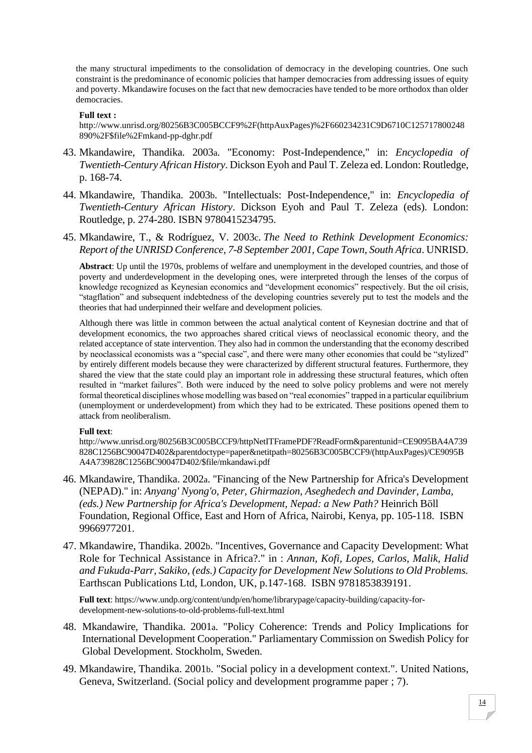the many structural impediments to the consolidation of democracy in the developing countries. One such constraint is the predominance of economic policies that hamper democracies from addressing issues of equity and poverty. Mkandawire focuses on the fact that new democracies have tended to be more orthodox than older democracies.

#### **Full text :**

[http://www.unrisd.org/80256B3C005BCCF9%2F\(httpAuxPages\)%2F660234231C9D6710C125717800248](http://www.unrisd.org/80256B3C005BCCF9%2F(httpAuxPages)%2F660234231C9D6710C125717800248890%2F$file%2Fmkand-pp-dghr.pdf) [890%2F\\$file%2Fmkand-pp-dghr.pdf](http://www.unrisd.org/80256B3C005BCCF9%2F(httpAuxPages)%2F660234231C9D6710C125717800248890%2F$file%2Fmkand-pp-dghr.pdf)

- 43. Mkandawire, Thandika. 2003a. "Economy: Post-Independence," in: *Encyclopedia of Twentieth-Century African History*. Dickson Eyoh and Paul T. Zeleza ed. London: Routledge, p. 168-74.
- 44. Mkandawire, Thandika. 2003b. "Intellectuals: Post-Independence," in: *Encyclopedia of Twentieth-Century African History*. Dickson Eyoh and Paul T. Zeleza (eds). London: Routledge, p. 274-280. ISBN 9780415234795.
- 45. Mkandawire, T., & Rodríguez, V. 2003c. *The Need to Rethink Development Economics: Report of the UNRISD Conference, 7-8 September 2001, Cape Town, South Africa*. UNRISD.

**Abstract**: Up until the 1970s, problems of welfare and unemployment in the developed countries, and those of poverty and underdevelopment in the developing ones, were interpreted through the lenses of the corpus of knowledge recognized as Keynesian economics and "development economics" respectively. But the oil crisis, "stagflation" and subsequent indebtedness of the developing countries severely put to test the models and the theories that had underpinned their welfare and development policies.

Although there was little in common between the actual analytical content of Keynesian doctrine and that of development economics, the two approaches shared critical views of neoclassical economic theory, and the related acceptance of state intervention. They also had in common the understanding that the economy described by neoclassical economists was a "special case", and there were many other economies that could be "stylized" by entirely different models because they were characterized by different structural features. Furthermore, they shared the view that the state could play an important role in addressing these structural features, which often resulted in "market failures". Both were induced by the need to solve policy problems and were not merely formal theoretical disciplines whose modelling was based on "real economies" trapped in a particular equilibrium (unemployment or underdevelopment) from which they had to be extricated. These positions opened them to attack from neoliberalism.

#### **Full text**:

[http://www.unrisd.org/80256B3C005BCCF9/httpNetITFramePDF?ReadForm&parentunid=CE9095BA4A739](http://www.unrisd.org/80256B3C005BCCF9/httpNetITFramePDF?ReadForm&parentunid=CE9095BA4A739828C1256BC90047D402&parentdoctype=paper&netitpath=80256B3C005BCCF9/(httpAuxPages)/CE9095BA4A739828C1256BC90047D402/$file/mkandawi.pdf) [828C1256BC90047D402&parentdoctype=paper&netitpath=80256B3C005BCCF9/\(httpAuxPages\)/CE9095B](http://www.unrisd.org/80256B3C005BCCF9/httpNetITFramePDF?ReadForm&parentunid=CE9095BA4A739828C1256BC90047D402&parentdoctype=paper&netitpath=80256B3C005BCCF9/(httpAuxPages)/CE9095BA4A739828C1256BC90047D402/$file/mkandawi.pdf) [A4A739828C1256BC90047D402/\\$file/mkandawi.pdf](http://www.unrisd.org/80256B3C005BCCF9/httpNetITFramePDF?ReadForm&parentunid=CE9095BA4A739828C1256BC90047D402&parentdoctype=paper&netitpath=80256B3C005BCCF9/(httpAuxPages)/CE9095BA4A739828C1256BC90047D402/$file/mkandawi.pdf)

- 46. Mkandawire, Thandika. 2002a. "Financing of the New Partnership for Africa's Development (NEPAD)." in: *Anyang' Nyong'o, Peter, Ghirmazion, Aseghedech and Davinder, Lamba, (eds.) New Partnership for Africa's Development, Nepad: a New Path?* Heinrich Böll Foundation, Regional Office, East and Horn of Africa, Nairobi, Kenya, pp. 105-118. ISBN 9966977201.
- 47. Mkandawire, Thandika. 2002b. "Incentives, Governance and Capacity Development: What Role for Technical Assistance in Africa?." in : *Annan, Kofi, Lopes, Carlos, Malik, Halid and Fukuda-Parr, Sakiko, (eds.) Capacity for Development New Solutions to Old Problems.* Earthscan Publications Ltd, London, UK, p.147-168. ISBN 9781853839191.

**Full text**[: https://www.undp.org/content/undp/en/home/librarypage/capacity-building/capacity-for](https://www.undp.org/content/undp/en/home/librarypage/capacity-building/capacity-for-development-new-solutions-to-old-problems-full-text.html)[development-new-solutions-to-old-problems-full-text.html](https://www.undp.org/content/undp/en/home/librarypage/capacity-building/capacity-for-development-new-solutions-to-old-problems-full-text.html)

- 48. Mkandawire, Thandika. 2001a. "Policy Coherence: Trends and Policy Implications for International Development Cooperation." Parliamentary Commission on Swedish Policy for Global Development. Stockholm, Sweden.
- 49. Mkandawire, Thandika. 2001b. "Social policy in a development context.". United Nations, Geneva, Switzerland. (Social policy and development programme paper ; 7).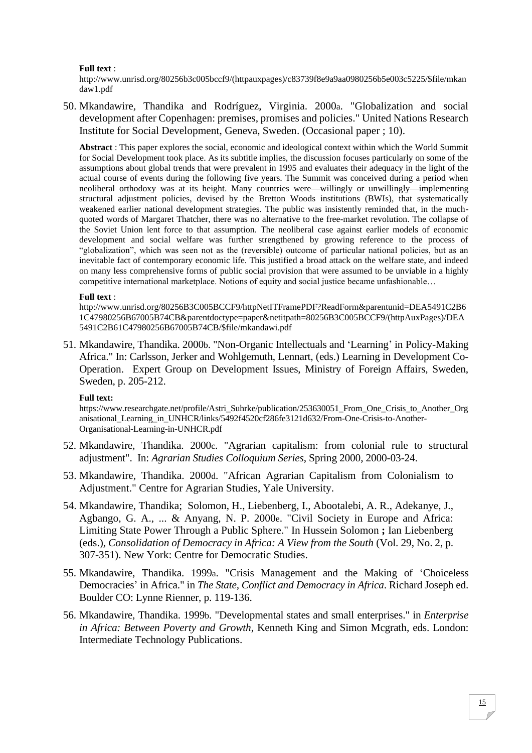#### **Full text** :

[http://www.unrisd.org/80256b3c005bccf9/\(httpauxpages\)/c83739f8e9a9aa0980256b5e003c5225/\\$file/mkan](http://www.unrisd.org/80256b3c005bccf9/(httpauxpages)/c83739f8e9a9aa0980256b5e003c5225/$file/mkandaw1.pdf) [daw1.pdf](http://www.unrisd.org/80256b3c005bccf9/(httpauxpages)/c83739f8e9a9aa0980256b5e003c5225/$file/mkandaw1.pdf)

50. Mkandawire, Thandika and Rodríguez, Virginia. 2000a. "Globalization and social development after Copenhagen: premises, promises and policies." United Nations Research Institute for Social Development, Geneva, Sweden. (Occasional paper ; 10).

**Abstract** : This paper explores the social, economic and ideological context within which the World Summit for Social Development took place. As its subtitle implies, the discussion focuses particularly on some of the assumptions about global trends that were prevalent in 1995 and evaluates their adequacy in the light of the actual course of events during the following five years. The Summit was conceived during a period when neoliberal orthodoxy was at its height. Many countries were—willingly or unwillingly—implementing structural adjustment policies, devised by the Bretton Woods institutions (BWIs), that systematically weakened earlier national development strategies. The public was insistently reminded that, in the muchquoted words of Margaret Thatcher, there was no alternative to the free-market revolution. The collapse of the Soviet Union lent force to that assumption. The neoliberal case against earlier models of economic development and social welfare was further strengthened by growing reference to the process of "globalization", which was seen not as the (reversible) outcome of particular national policies, but as an inevitable fact of contemporary economic life. This justified a broad attack on the welfare state, and indeed on many less comprehensive forms of public social provision that were assumed to be unviable in a highly competitive international marketplace. Notions of equity and social justice became unfashionable…

#### **Full text** :

[http://www.unrisd.org/80256B3C005BCCF9/httpNetITFramePDF?ReadForm&parentunid=DEA5491C2B6](http://www.unrisd.org/80256B3C005BCCF9/httpNetITFramePDF?ReadForm&parentunid=DEA5491C2B61C47980256B67005B74CB&parentdoctype=paper&netitpath=80256B3C005BCCF9/(httpAuxPages)/DEA5491C2B61C47980256B67005B74CB/$file/mkandawi.pdf) [1C47980256B67005B74CB&parentdoctype=paper&netitpath=80256B3C005BCCF9/\(httpAuxPages\)/DEA](http://www.unrisd.org/80256B3C005BCCF9/httpNetITFramePDF?ReadForm&parentunid=DEA5491C2B61C47980256B67005B74CB&parentdoctype=paper&netitpath=80256B3C005BCCF9/(httpAuxPages)/DEA5491C2B61C47980256B67005B74CB/$file/mkandawi.pdf) [5491C2B61C47980256B67005B74CB/\\$file/mkandawi.pdf](http://www.unrisd.org/80256B3C005BCCF9/httpNetITFramePDF?ReadForm&parentunid=DEA5491C2B61C47980256B67005B74CB&parentdoctype=paper&netitpath=80256B3C005BCCF9/(httpAuxPages)/DEA5491C2B61C47980256B67005B74CB/$file/mkandawi.pdf)

51. Mkandawire, Thandika. 2000b. "Non-Organic Intellectuals and 'Learning' in Policy-Making Africa." In: Carlsson, Jerker and Wohlgemuth, Lennart, (eds.) Learning in Development Co-Operation. Expert Group on Development Issues, Ministry of Foreign Affairs, Sweden, Sweden, p. 205-212.

#### **Full text:**

[https://www.researchgate.net/profile/Astri\\_Suhrke/publication/253630051\\_From\\_One\\_Crisis\\_to\\_Another\\_Org](https://www.researchgate.net/profile/Astri_Suhrke/publication/253630051_From_One_Crisis_to_Another_Organisational_Learning_in_UNHCR/links/5492f4520cf286fe3121d632/From-One-Crisis-to-Another-Organisational-Learning-in-UNHCR.pdf) [anisational\\_Learning\\_in\\_UNHCR/links/5492f4520cf286fe3121d632/From-One-Crisis-to-Another-](https://www.researchgate.net/profile/Astri_Suhrke/publication/253630051_From_One_Crisis_to_Another_Organisational_Learning_in_UNHCR/links/5492f4520cf286fe3121d632/From-One-Crisis-to-Another-Organisational-Learning-in-UNHCR.pdf)[Organisational-Learning-in-UNHCR.pdf](https://www.researchgate.net/profile/Astri_Suhrke/publication/253630051_From_One_Crisis_to_Another_Organisational_Learning_in_UNHCR/links/5492f4520cf286fe3121d632/From-One-Crisis-to-Another-Organisational-Learning-in-UNHCR.pdf)

- 52. Mkandawire, Thandika. 2000c. "Agrarian capitalism: from colonial rule to structural adjustment". In: *Agrarian Studies Colloquium Series*, Spring 2000, 2000-03-24.
- 53. Mkandawire, Thandika. 2000d. "African Agrarian Capitalism from Colonialism to Adjustment." Centre for Agrarian Studies, Yale University.
- 54. Mkandawire, Thandika; Solomon, H., Liebenberg, I., Abootalebi, A. R., Adekanye, J., Agbango, G. A., ... & Anyang, N. P. 2000e. "Civil Society in Europe and Africa: Limiting State Power Through a Public Sphere." In Hussein Solomon **;** Ian Liebenberg (eds.)*, Consolidation of Democracy in Africa: A View from the South* (Vol. 29, No. 2, p. 307-351). New York: Centre for Democratic Studies.
- 55. Mkandawire, Thandika. 1999a. "Crisis Management and the Making of 'Choiceless Democracies' in Africa." in *The State, Conflict and Democracy in Africa*. Richard Joseph ed. Boulder CO: Lynne Rienner, p. 119-136.
- 56. Mkandawire, Thandika. 1999b. "Developmental states and small enterprises." in *Enterprise in Africa: Between Poverty and Growth*, Kenneth King and Simon Mcgrath, eds. London: Intermediate Technology Publications.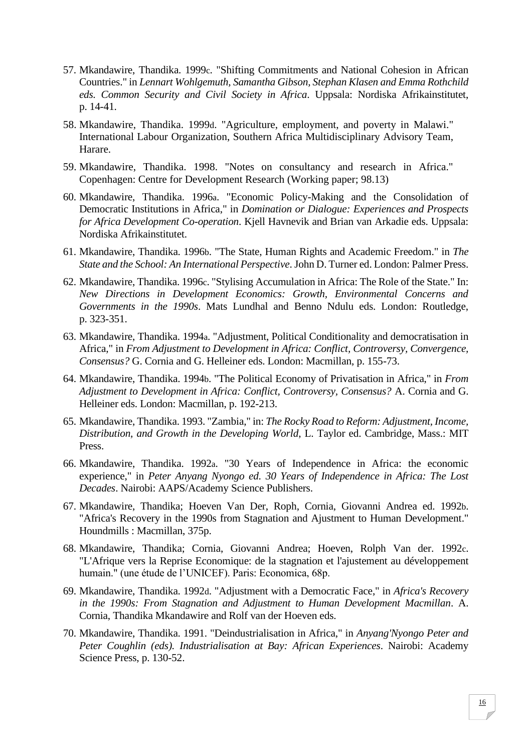- 57. Mkandawire, Thandika. 1999c. "Shifting Commitments and National Cohesion in African Countries." in *Lennart Wohlgemuth, Samantha Gibson, Stephan Klasen and Emma Rothchild eds. Common Security and Civil Society in Africa*. Uppsala: Nordiska Afrikainstitutet, p. 14-41.
- 58. Mkandawire, Thandika. 1999d. "Agriculture, employment, and poverty in Malawi." International Labour Organization, Southern Africa Multidisciplinary Advisory Team, Harare.
- 59. Mkandawire, Thandika. 1998. "Notes on consultancy and research in Africa." Copenhagen: Centre for Development Research (Working paper; 98.13)
- 60. Mkandawire, Thandika. 1996a. "Economic Policy-Making and the Consolidation of Democratic Institutions in Africa," in *Domination or Dialogue: Experiences and Prospects for Africa Development Co-operation*. Kjell Havnevik and Brian van Arkadie eds. Uppsala: Nordiska Afrikainstitutet.
- 61. Mkandawire, Thandika. 1996b. "The State, Human Rights and Academic Freedom." in *The State and the School: An International Perspective*. John D. Turner ed. London: Palmer Press.
- 62. Mkandawire, Thandika. 1996c. "Stylising Accumulation in Africa: The Role of the State." In: *New Directions in Development Economics: Growth, Environmental Concerns and Governments in the 1990s*. Mats Lundhal and Benno Ndulu eds. London: Routledge, p. 323-351.
- 63. Mkandawire, Thandika. 1994a. "Adjustment, Political Conditionality and democratisation in Africa," in *From Adjustment to Development in Africa: Conflict, Controversy, Convergence, Consensus?* G. Cornia and G. Helleiner eds. London: Macmillan, p. 155-73.
- 64. Mkandawire, Thandika. 1994b. "The Political Economy of Privatisation in Africa," in *From Adjustment to Development in Africa: Conflict, Controversy, Consensus?* A. Cornia and G. Helleiner eds. London: Macmillan, p. 192-213.
- 65. Mkandawire, Thandika. 1993. "Zambia," in: *The Rocky Road to Reform: Adjustment, Income, Distribution, and Growth in the Developing World*, L. Taylor ed. Cambridge, Mass.: MIT Press.
- 66. Mkandawire, Thandika. 1992a. "30 Years of Independence in Africa: the economic experience," in *Peter Anyang Nyongo ed. 30 Years of Independence in Africa: The Lost Decades*. Nairobi: AAPS/Academy Science Publishers.
- 67. Mkandawire, Thandika; Hoeven Van Der, Roph, Cornia, Giovanni Andrea ed. 1992b. "Africa's Recovery in the 1990s from Stagnation and Ajustment to Human Development." Houndmills : Macmillan, 375p.
- 68. Mkandawire, Thandika; Cornia, Giovanni Andrea; Hoeven, Rolph Van der. 1992c. "L'Afrique vers la Reprise Economique: de la stagnation et l'ajustement au développement humain." (une étude de l'UNICEF). Paris: Economica, 68p.
- 69. Mkandawire, Thandika. 1992d. "Adjustment with a Democratic Face," in *Africa's Recovery in the 1990s: From Stagnation and Adjustment to Human Development Macmillan*. A. Cornia, Thandika Mkandawire and Rolf van der Hoeven eds.
- 70. Mkandawire, Thandika. 1991. "Deindustrialisation in Africa," in *Anyang'Nyongo Peter and Peter Coughlin (eds). Industrialisation at Bay: African Experiences*. Nairobi: Academy Science Press, p. 130-52.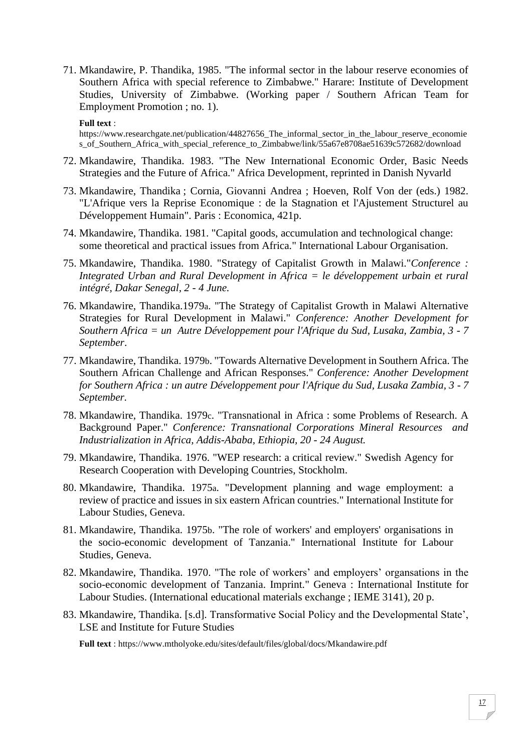71. Mkandawire, P. Thandika, 1985. "The informal sector in the labour reserve economies of Southern Africa with special reference to Zimbabwe." Harare: Institute of Development Studies, University of Zimbabwe. (Working paper / Southern African Team for Employment Promotion ; no. 1).

#### **Full text** :

[https://www.researchgate.net/publication/44827656\\_The\\_informal\\_sector\\_in\\_the\\_labour\\_reserve\\_economie](https://www.researchgate.net/publication/44827656_The_informal_sector_in_the_labour_reserve_economies_of_Southern_Africa_with_special_reference_to_Zimbabwe/link/55a67e8708ae51639c572682/download) [s\\_of\\_Southern\\_Africa\\_with\\_special\\_reference\\_to\\_Zimbabwe/link/55a67e8708ae51639c572682/download](https://www.researchgate.net/publication/44827656_The_informal_sector_in_the_labour_reserve_economies_of_Southern_Africa_with_special_reference_to_Zimbabwe/link/55a67e8708ae51639c572682/download)

- 72. Mkandawire, Thandika. 1983. "The New International Economic Order, Basic Needs Strategies and the Future of Africa." Africa Development, reprinted in Danish Nyvarld
- 73. Mkandawire, Thandika ; Cornia, Giovanni Andrea ; Hoeven, Rolf Von der (eds.) 1982. "L'Afrique vers la Reprise Economique : de la Stagnation et l'Ajustement Structurel au Développement Humain". Paris : Economica, 421p.
- 74. Mkandawire, Thandika. 1981. "Capital goods, accumulation and technological change: some theoretical and practical issues from Africa." International Labour Organisation.
- 75. Mkandawire, Thandika. 1980. "Strategy of Capitalist Growth in Malawi."*Conference : Integrated Urban and Rural Development in Africa = le développement urbain et rural intégré, Dakar Senegal, 2 - 4 June.*
- 76. Mkandawire, Thandika.1979a. "The Strategy of Capitalist Growth in Malawi Alternative Strategies for Rural Development in Malawi." *Conference: Another Development for Southern Africa = un Autre Développement pour l'Afrique du Sud, Lusaka, Zambia, 3 - 7 September*.
- 77. Mkandawire, Thandika. 1979b. "Towards Alternative Development in Southern Africa. The Southern African Challenge and African Responses." *Conference: Another Development for Southern Africa : un autre Développement pour l'Afrique du Sud, Lusaka Zambia, 3 - 7 September.*
- 78. Mkandawire, Thandika. 1979c. "Transnational in Africa : some Problems of Research. A Background Paper." *Conference: Transnational Corporations Mineral Resources and Industrialization in Africa, Addis-Ababa, Ethiopia, 20 - 24 August.*
- 79. Mkandawire, Thandika. 1976. "WEP research: a critical review." Swedish Agency for Research Cooperation with Developing Countries, Stockholm.
- 80. Mkandawire, Thandika. 1975a. "Development planning and wage employment: a review of practice and issues in six eastern African countries." International Institute for Labour Studies, Geneva.
- 81. Mkandawire, Thandika. 1975b. "The role of workers' and employers' organisations in the socio-economic development of Tanzania." International Institute for Labour Studies, Geneva.
- 82. Mkandawire, Thandika. 1970. "The role of workers' and employers' organsations in the socio-economic development of Tanzania. Imprint." Geneva : International Institute for Labour Studies. (International educational materials exchange ; IEME 3141), 20 p.
- 83. Mkandawire, Thandika. [s.d]. Transformative Social Policy and the Developmental State', LSE and Institute for Future Studies

**Full text** :<https://www.mtholyoke.edu/sites/default/files/global/docs/Mkandawire.pdf>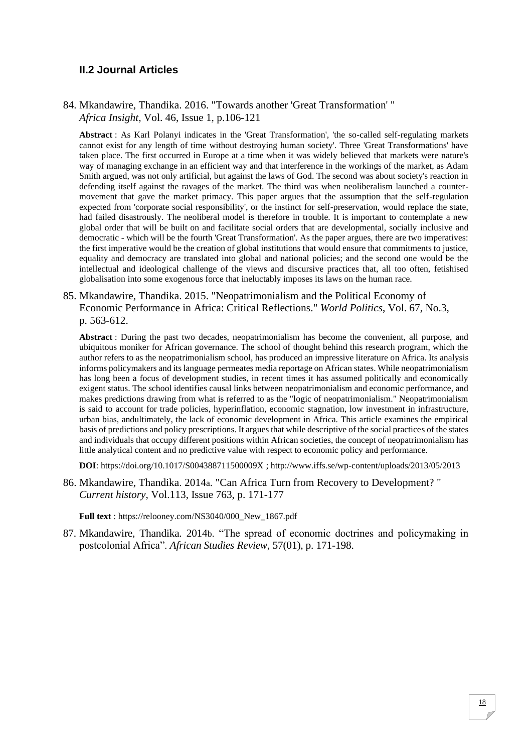### <span id="page-17-0"></span>**II.2 Journal Articles**

84. Mkandawire, Thandika. 2016. "Towards another ['Great Transformation'](https://scholar.google.com/scholar?oi=bibs&cluster=13711345080387746734&btnI=1&hl=en) " *Africa Insight*, Vol. 46, Issue 1, p.106-121

**Abstract** : As Karl Polanyi indicates in the 'Great Transformation', 'the so-called self-regulating markets cannot exist for any length of time without destroying human society'. Three 'Great Transformations' have taken place. The first occurred in Europe at a time when it was widely believed that markets were nature's way of managing exchange in an efficient way and that interference in the workings of the market, as Adam Smith argued, was not only artificial, but against the laws of God. The second was about society's reaction in defending itself against the ravages of the market. The third was when neoliberalism launched a countermovement that gave the market primacy. This paper argues that the assumption that the self-regulation expected from 'corporate social responsibility', or the instinct for self-preservation, would replace the state, had failed disastrously. The neoliberal model is therefore in trouble. It is important to contemplate a new global order that will be built on and facilitate social orders that are developmental, socially inclusive and democratic - which will be the fourth 'Great Transformation'. As the paper argues, there are two imperatives: the first imperative would be the creation of global institutions that would ensure that commitments to justice, equality and democracy are translated into global and national policies; and the second one would be the intellectual and ideological challenge of the views and discursive practices that, all too often, fetishised globalisation into some exogenous force that ineluctably imposes its laws on the human race.

85. Mkandawire, Thandika. 2015. "Neopatrimonialism and the Political Economy of Economic Performance in Africa: Critical Reflections." *World Politics*, Vol. 67, No.3, p. 563-612.

**Abstract** : During the past two decades, neopatrimonialism has become the convenient, all purpose, and ubiquitous moniker for African governance. The school of thought behind this research program, which the author refers to as the neopatrimonialism school, has produced an impressive literature on Africa. Its analysis informs policymakers and its language permeates media reportage on African states. While neopatrimonialism has long been a focus of development studies, in recent times it has assumed politically and economically exigent status. The school identifies causal links between neopatrimonialism and economic performance, and makes predictions drawing from what is referred to as the "logic of neopatrimonialism." Neopatrimonialism is said to account for trade policies, hyperinflation, economic stagnation, low investment in infrastructure, urban bias, andultimately, the lack of economic development in Africa. This article examines the empirical basis of predictions and policy prescriptions. It argues that while descriptive of the social practices of the states and individuals that occupy different positions within African societies, the concept of neopatrimonialism has little analytical content and no predictive value with respect to economic policy and performance.

**DOI**: <https://doi.org/10.1017/S004388711500009X> ; <http://www.iffs.se/wp-content/uploads/2013/05/2013>

86. Mkandawire, Thandika. 2014a. "Can Africa Turn from Recovery to Development? " *Current history*, Vol.113, Issue 763, p. 171-177

**Full text** : [https://relooney.com/NS3040/000\\_New\\_1867.pdf](https://relooney.com/NS3040/000_New_1867.pdf)

87. Mkandawire, Thandika. 2014b. "The spread of economic doctrines and policymaking in postcolonial Africa". *African Studies Review*, 57(01), p. 171-198.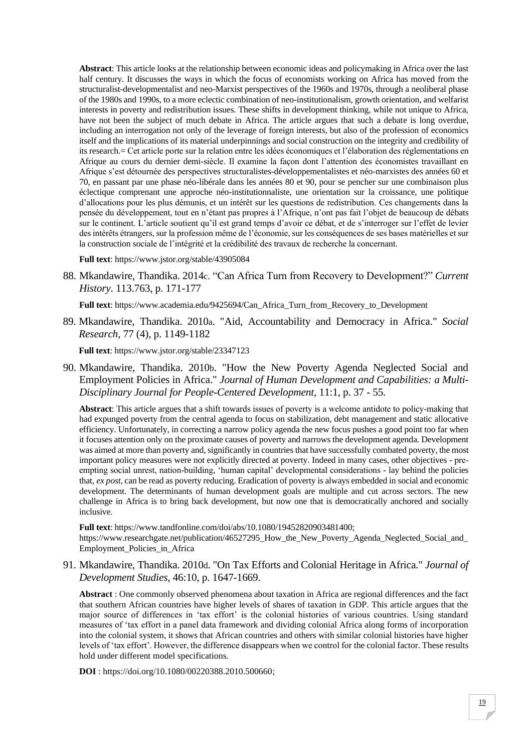**Abstract**: This article looks at the relationship between economic ideas and policymaking in Africa over the last half century. It discusses the ways in which the focus of economists working on Africa has moved from the structuralist-developmentalist and neo-Marxist perspectives of the 1960s and 1970s, through a neoliberal phase of the 1980s and 1990s, to a more eclectic combination of neo-institutionalism, growth orientation, and welfarist interests in poverty and redistribution issues. These shifts in development thinking, while not unique to Africa, have not been the subject of much debate in Africa. The article argues that such a debate is long overdue, including an interrogation not only of the leverage of foreign interests, but also of the profession of economics itself and the implications of its material underpinnings and social construction on the integrity and credibility of its research.= Cet article porte sur la relation entre les idées économiques et l'élaboration des réglementations en Afrique au cours du dernier demi-siècle. Il examine la façon dont l'attention des économistes travaillant en Afrique s'est détournée des perspectives structuralistes-développementalistes et néo-marxistes des années 60 et 70, en passant par une phase néo-libérale dans les années 80 et 90, pour se pencher sur une combinaison plus éclectique comprenant une approche néo-institutionnaliste, une orientation sur la croissance, une politique d'allocations pour les plus démunis, et un intérêt sur les questions de redistribution. Ces changements dans la pensée du développement, tout en n'étant pas propres à l'Afrique, n'ont pas fait l'objet de beaucoup de débats sur le continent. L'article soutient qu'il est grand temps d'avoir ce débat, et de s'interroger sur l'effet de levier des intérêts étrangers, sur la profession même de l'économie, sur les conséquences de ses bases matérielles et sur la construction sociale de l'intégrité et la crédibilité des travaux de recherche la concernant.

**Full text**: https://www.jstor.org/stable/43905084

88. Mkandawire, Thandika. 2014c. "Can Africa Turn from Recovery to Development?" *Current History*. 113.763, p. 171-177

**Full text**[: https://www.academia.edu/9425694/Can\\_Africa\\_Turn\\_from\\_Recovery\\_to\\_Development](https://www.academia.edu/9425694/Can_Africa_Turn_from_Recovery_to_Development)

89. Mkandawire, Thandika. 2010a. "Aid, Accountability and Democracy in Africa." *Social Research,* 77 (4), p. 1149-1182

**Full text**:<https://www.jstor.org/stable/23347123>

90. Mkandawire, Thandika. 2010b. "How the New Poverty Agenda Neglected Social and Employment Policies in Africa." *Journal of Human Development and Capabilities: a Multi-Disciplinary Journal for People-Centered Development*, 11:1, p. 37 - 55.

Abstract: This article argues that a shift towards issues of poverty is a welcome antidote to policy-making that had expunged poverty from the central agenda to focus on stabilization, debt management and static allocative efficiency. Unfortunately, in correcting a narrow policy agenda the new focus pushes a good point too far when it focuses attention only on the proximate causes of poverty and narrows the development agenda. Development was aimed at more than poverty and, significantly in countries that have successfully combated poverty, the most important policy measures were not explicitly directed at poverty. Indeed in many cases, other objectives - pre‐ empting social unrest, nation-building, 'human capital' developmental considerations - lay behind the policies that, *ex post*, can be read as poverty reducing. Eradication of poverty is always embedded in social and economic development. The determinants of human development goals are multiple and cut across sectors. The new challenge in Africa is to bring back development, but now one that is democratically anchored and socially inclusive.

**Full text**: [https://www.tandfonline.com/doi/abs/10.1080/19452820903481400;](https://www.tandfonline.com/doi/abs/10.1080/19452820903481400) [https://www.researchgate.net/publication/46527295\\_How\\_the\\_New\\_Poverty\\_Agenda\\_Neglected\\_Social\\_and\\_](https://www.researchgate.net/publication/46527295_How_the_New_Poverty_Agenda_Neglected_Social_and_Employment_Policies_in_Africa) [Employment\\_Policies\\_in\\_Africa](https://www.researchgate.net/publication/46527295_How_the_New_Poverty_Agenda_Neglected_Social_and_Employment_Policies_in_Africa)

91. Mkandawire, Thandika. 2010d. "On Tax Efforts and Colonial Heritage in Africa." *Journal of Development Studies*, 46:10, p. 1647-1669.

**Abstract** : One commonly observed phenomena about taxation in Africa are regional differences and the fact that southern African countries have higher levels of shares of taxation in GDP. This article argues that the major source of differences in 'tax effort' is the colonial histories of various countries. Using standard measures of 'tax effort in a panel data framework and dividing colonial Africa along forms of incorporation into the colonial system, it shows that African countries and others with similar colonial histories have higher levels of 'tax effort'. However, the difference disappears when we control for the colonial factor. These results hold under different model specifications.

**DOI** : [https://doi.org/10.1080/00220388.2010.500660;](https://doi.org/10.1080/00220388.2010.500660)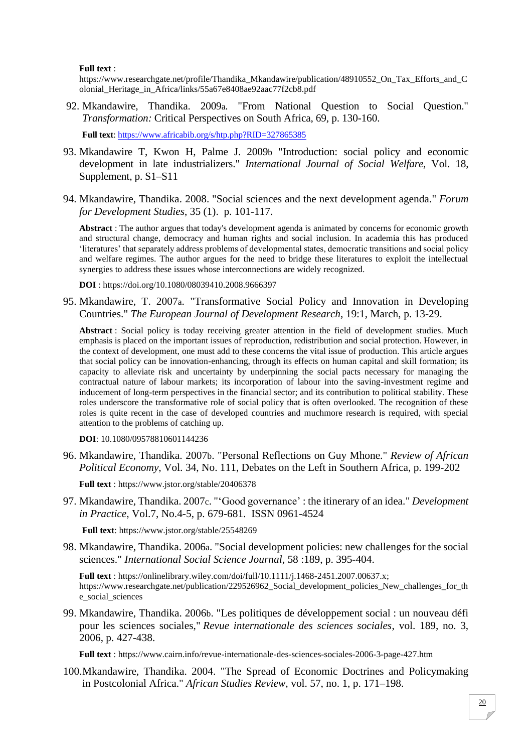**Full text** :

[https://www.researchgate.net/profile/Thandika\\_Mkandawire/publication/48910552\\_On\\_Tax\\_Efforts\\_and\\_C](https://www.researchgate.net/profile/Thandika_Mkandawire/publication/48910552_On_Tax_Efforts_and_Colonial_Heritage_in_Africa/links/55a67e8408ae92aac77f2cb8.pdf) [olonial\\_Heritage\\_in\\_Africa/links/55a67e8408ae92aac77f2cb8.pdf](https://www.researchgate.net/profile/Thandika_Mkandawire/publication/48910552_On_Tax_Efforts_and_Colonial_Heritage_in_Africa/links/55a67e8408ae92aac77f2cb8.pdf)

92. Mkandawire, Thandika. 2009a. "From National Question to Social Question." *Transformation:* Critical Perspectives on South Africa, 69, p. 130-160.

**Full text**:<https://www.africabib.org/s/htp.php?RID=327865385>

- 93. Mkandawire T, Kwon H, Palme J. 2009b "Introduction: social policy and economic development in late industrializers." *International Journal of Social Welfare*, Vol. 18, Supplement, p. S1–S11
- 94. Mkandawire, Thandika. 2008. "Social sciences and the next development agenda." *Forum for Development Studies*, 35 (1). p. 101-117.

**Abstract** : The author argues that today's development agenda is animated by concerns for economic growth and structural change, democracy and human rights and social inclusion. In academia this has produced 'literatures' that separately address problems of developmental states, democratic transitions and social policy and welfare regimes. The author argues for the need to bridge these literatures to exploit the intellectual synergies to address these issues whose interconnections are widely recognized.

**DOI** :<https://doi.org/10.1080/08039410.2008.9666397>

95. Mkandawire, T. 2007a. "Transformative Social Policy and Innovation in Developing Countries." *The European Journal of Development Research*, 19:1, March, p. 13-29.

**Abstract** : Social policy is today receiving greater attention in the field of development studies. Much emphasis is placed on the important issues of reproduction, redistribution and social protection. However, in the context of development, one must add to these concerns the vital issue of production. This article argues that social policy can be innovation-enhancing, through its effects on human capital and skill formation; its capacity to alleviate risk and uncertainty by underpinning the social pacts necessary for managing the contractual nature of labour markets; its incorporation of labour into the saving-investment regime and inducement of long-term perspectives in the financial sector; and its contribution to political stability. These roles underscore the transformative role of social policy that is often overlooked. The recognition of these roles is quite recent in the case of developed countries and muchmore research is required, with special attention to the problems of catching up.

**DOI**: [10.1080/09578810601144236](https://doi.org/10.1080/09578810601144236)

96. Mkandawire, Thandika. 2007b. "Personal Reflections on Guy Mhone." *Review of African Political Economy*, Vol. 34, No. 111, Debates on the Left in Southern Africa, p. 199-202

**Full text** :<https://www.jstor.org/stable/20406378>

97. Mkandawire, Thandika. 2007c. "'Good governance' : the itinerary of an idea." *Development in Practice*, Vol.7, No.4-5, p. 679-681. ISSN 0961-4524

**Full text**: https://www.jstor.org/stable/25548269

98. Mkandawire, Thandika. 2006a. "Social development policies: new challenges for the social sciences." *International Social Science Journal*, 58 :189, p. 395-404.

**Full text** : [https://onlinelibrary.wiley.com/doi/full/10.1111/j.1468-2451.2007.00637.x;](https://onlinelibrary.wiley.com/doi/full/10.1111/j.1468-2451.2007.00637.x) [https://www.researchgate.net/publication/229526962\\_Social\\_development\\_policies\\_New\\_challenges\\_for\\_th](https://www.researchgate.net/publication/229526962_Social_development_policies_New_challenges_for_the_social_sciences) [e\\_social\\_sciences](https://www.researchgate.net/publication/229526962_Social_development_policies_New_challenges_for_the_social_sciences)

99. Mkandawire, Thandika. 2006b. "Les politiques de développement social : un nouveau défi pour les sciences sociales," *Revue internationale des sciences sociales*, vol. 189, no. 3, 2006, p. 427-438.

**Full text** :<https://www.cairn.info/revue-internationale-des-sciences-sociales-2006-3-page-427.htm>

100.Mkandawire, Thandika. 2004. "The Spread of Economic Doctrines and Policymaking in Postcolonial Africa." *African Studies Review*, vol. 57, no. 1, p. 171–198.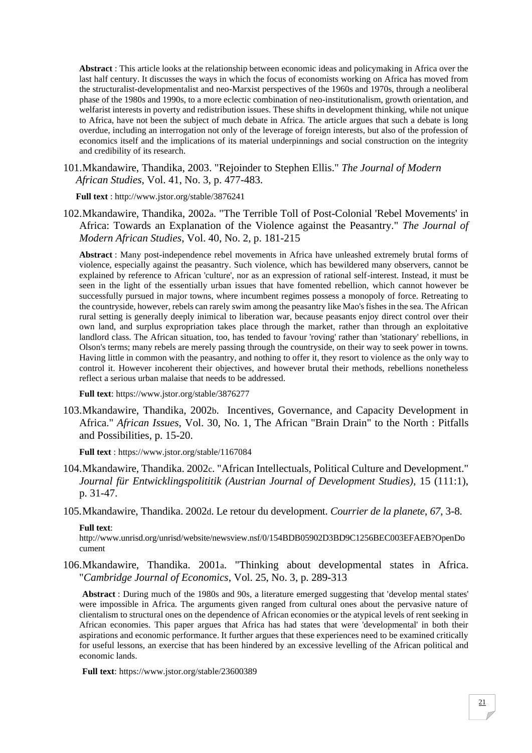**Abstract** : This article looks at the relationship between economic ideas and policymaking in Africa over the last half century. It discusses the ways in which the focus of economists working on Africa has moved from the structuralist-developmentalist and neo-Marxist perspectives of the 1960s and 1970s, through a neoliberal phase of the 1980s and 1990s, to a more eclectic combination of neo-institutionalism, growth orientation, and welfarist interests in poverty and redistribution issues. These shifts in development thinking, while not unique to Africa, have not been the subject of much debate in Africa. The article argues that such a debate is long overdue, including an interrogation not only of the leverage of foreign interests, but also of the profession of economics itself and the implications of its material underpinnings and social construction on the integrity and credibility of its research.

101.Mkandawire, Thandika, 2003. "Rejoinder to Stephen Ellis." *The Journal of Modern African Studies*, Vol. 41, No. 3, p. 477-483.

**Full text** : <http://www.jstor.org/stable/3876241>

102.Mkandawire, Thandika, 2002a. "The Terrible Toll of Post-Colonial 'Rebel Movements' in Africa: Towards an Explanation of the Violence against the Peasantry." *The Journal of Modern African Studies*, Vol. 40, No. 2, p. 181-215

**Abstract** : Many post-independence rebel movements in Africa have unleashed extremely brutal forms of violence, especially against the peasantry. Such violence, which has bewildered many observers, cannot be explained by reference to African 'culture', nor as an expression of rational self-interest. Instead, it must be seen in the light of the essentially urban issues that have fomented rebellion, which cannot however be successfully pursued in major towns, where incumbent regimes possess a monopoly of force. Retreating to the countryside, however, rebels can rarely swim among the peasantry like Mao's fishes in the sea. The African rural setting is generally deeply inimical to liberation war, because peasants enjoy direct control over their own land, and surplus expropriation takes place through the market, rather than through an exploitative landlord class. The African situation, too, has tended to favour 'roving' rather than 'stationary' rebellions, in Olson's terms; many rebels are merely passing through the countryside, on their way to seek power in towns. Having little in common with the peasantry, and nothing to offer it, they resort to violence as the only way to control it. However incoherent their objectives, and however brutal their methods, rebellions nonetheless reflect a serious urban malaise that needs to be addressed.

**Full text**: https://www.jstor.org/stable/3876277

103.Mkandawire, Thandika, 2002b. Incentives, Governance, and Capacity Development in Africa." *African Issues*, Vol. 30, No. 1, The African "Brain Drain" to the North : Pitfalls and Possibilities, p. 15-20.

**Full text** : https://www.jstor.org/stable/1167084

- 104.Mkandawire, Thandika. 2002c. "African Intellectuals, Political Culture and Development." *Journal für Entwicklingspolititik (Austrian Journal of Development Studies)*, 15 (111:1), p. 31-47.
- 105.Mkandawire, Thandika. 2002d. Le retour du development. *Courrier de la planete*, *67*, 3-8.

#### **Full text**:

[http://www.unrisd.org/unrisd/website/newsview.nsf/0/154BDB05902D3BD9C1256BEC003EFAEB?OpenDo](http://www.unrisd.org/unrisd/website/newsview.nsf/0/154BDB05902D3BD9C1256BEC003EFAEB?OpenDocument) [cument](http://www.unrisd.org/unrisd/website/newsview.nsf/0/154BDB05902D3BD9C1256BEC003EFAEB?OpenDocument)

106.Mkandawire, Thandika. 2001a. "Thinking about developmental states in Africa. "*Cambridge Journal of Economics*, Vol. 25, No. 3, p. 289-313

**Abstract** : During much of the 1980s and 90s, a literature emerged suggesting that 'develop mental states' were impossible in Africa. The arguments given ranged from cultural ones about the pervasive nature of clientalism to structural ones on the dependence of African economies or the atypical levels of rent seeking in African economies. This paper argues that Africa has had states that were 'developmental' in both their aspirations and economic performance. It further argues that these experiences need to be examined critically for useful lessons, an exercise that has been hindered by an excessive levelling of the African political and economic lands.

**Full text**: https://www.jstor.org/stable/23600389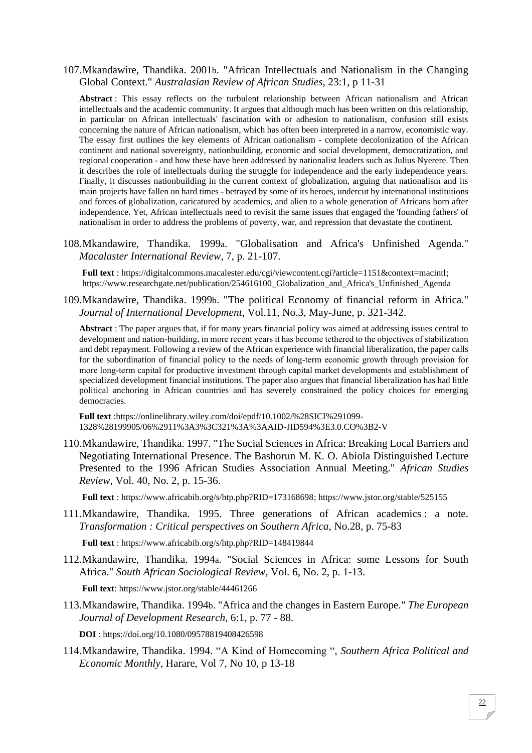107.Mkandawire, Thandika. 2001b. "African Intellectuals and Nationalism in the Changing Global Context." *Australasian Review of African Studies*, 23:1, p 11-31

**Abstract** : This essay reflects on the turbulent relationship between African nationalism and African intellectuals and the academic community. It argues that although much has been written on this relationship, in particular on African intellectuals' fascination with or adhesion to nationalism, confusion still exists concerning the nature of African nationalism, which has often been interpreted in a narrow, economistic way. The essay first outlines the key elements of African nationalism - complete decolonization of the African continent and national sovereignty, nationbuilding, economic and social development, democratization, and regional cooperation - and how these have been addressed by nationalist leaders such as Julius Nyerere. Then it describes the role of intellectuals during the struggle for independence and the early independence years. Finally, it discusses nationbuilding in the current context of globalization, arguing that nationalism and its main projects have fallen on hard times - betrayed by some of its heroes, undercut by international institutions and forces of globalization, caricatured by academics, and alien to a whole generation of Africans born after independence. Yet, African intellectuals need to revisit the same issues that engaged the 'founding fathers' of nationalism in order to address the problems of poverty, war, and repression that devastate the continent.

108.Mkandawire, Thandika. 1999a. "Globalisation and Africa's Unfinished Agenda." *Macalaster International Review*, 7, p. 21-107.

**Full text** : [https://digitalcommons.macalester.edu/cgi/viewcontent.cgi?article=1151&context=macintl;](https://digitalcommons.macalester.edu/cgi/viewcontent.cgi?article=1151&context=macintl) https://www.researchgate.net/publication/254616100 Globalization and Africa's Unfinished Agenda

109.Mkandawire, Thandika. 1999b. "The political Economy of financial reform in Africa." *Journal of International Development*, Vol.11, No.3, May-June, p. 321-342.

**Abstract** : The paper argues that, if for many years financial policy was aimed at addressing issues central to development and nation‐building, in more recent years it has become tethered to the objectives of stabilization and debt repayment. Following a review of the African experience with financial liberalization, the paper calls for the subordination of financial policy to the needs of long-term economic growth through provision for more long‐term capital for productive investment through capital market developments and establishment of specialized development financial institutions. The paper also argues that financial liberalization has had little political anchoring in African countries and has severely constrained the policy choices for emerging democracies.

**Full text** [:https://onlinelibrary.wiley.com/doi/epdf/10.1002/%28SICI%291099-](https://onlinelibrary.wiley.com/doi/epdf/10.1002/%28SICI%291099-1328%28199905/06%2911%3A3%3C321%3A%3AAID-JID594%3E3.0.CO%3B2-V) [1328%28199905/06%2911%3A3%3C321%3A%3AAID-JID594%3E3.0.CO%3B2-V](https://onlinelibrary.wiley.com/doi/epdf/10.1002/%28SICI%291099-1328%28199905/06%2911%3A3%3C321%3A%3AAID-JID594%3E3.0.CO%3B2-V)

110.Mkandawire, Thandika. 1997. "The Social Sciences in Africa: Breaking Local Barriers and Negotiating International Presence. The Bashorun M. K. O. Abiola Distinguished Lecture Presented to the 1996 African Studies Association Annual Meeting." *African Studies Review*, Vol. 40, No. 2, p. 15-36.

**Full text** : [https://www.africabib.org/s/htp.php?RID=173168698;](https://www.africabib.org/s/htp.php?RID=173168698)<https://www.jstor.org/stable/525155>

111.Mkandawire, Thandika. 1995. Three generations of African academics : a note. *Transformation : Critical perspectives on Southern Africa*, No.28, p. 75-83

**Full text** : https://www.africabib.org/s/htp.php?RID=148419844

112.Mkandawire, Thandika. 1994a. "Social Sciences in Africa: some Lessons for South Africa." *South African Sociological Review*, Vol. 6, No. 2, p. 1-13.

**Full text**: https://www.jstor.org/stable/44461266

113.Mkandawire, Thandika. 1994b. "Africa and the changes in Eastern Europe." *The European Journal of Development Research*, 6:1, p. 77 - 88.

**DOI** : <https://doi.org/10.1080/09578819408426598>

114.Mkandawire, Thandika. 1994. "A Kind of Homecoming ", *Southern Africa Political and Economic Monthly*, Harare, Vol 7, No 10, p 13-18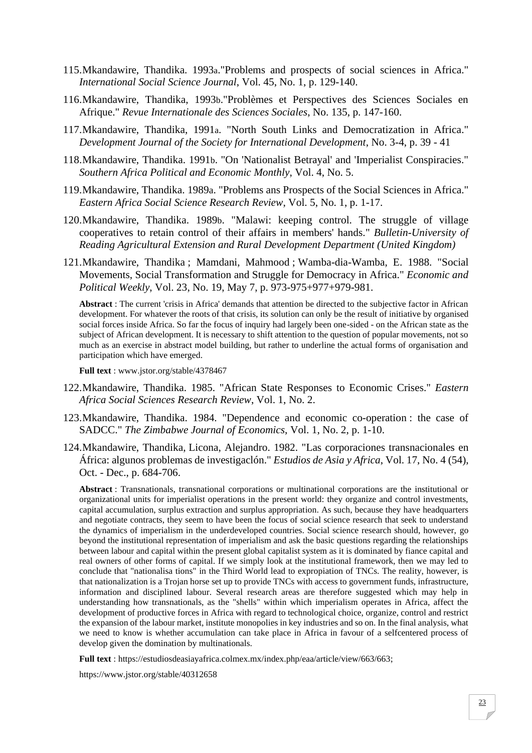- 115.Mkandawire, Thandika. 1993a."Problems and prospects of social sciences in Africa." *International Social Science Journal*, Vol. 45, No. 1, p. 129-140.
- 116.Mkandawire, Thandika, 1993b."Problèmes et Perspectives des Sciences Sociales en Afrique." *Revue Internationale des Sciences Sociales*, No. 135, p. 147-160.
- 117.Mkandawire, Thandika, 1991a. "North South Links and Democratization in Africa." *Development Journal of the Society for International Development*, No. 3-4, p. 39 - 41
- 118.Mkandawire, Thandika. 1991b. "On 'Nationalist Betrayal' and 'Imperialist Conspiracies." *Southern Africa Political and Economic Monthly*, Vol. 4, No. 5.
- 119.Mkandawire, Thandika. 1989a. "Problems ans Prospects of the Social Sciences in Africa." *Eastern Africa Social Science Research Review*, Vol. 5, No. 1, p. 1-17.
- 120.Mkandawire, Thandika. 1989b. "Malawi: keeping control. The struggle of village cooperatives to retain control of their affairs in members' hands." *Bulletin-University of Reading Agricultural Extension and Rural Development Department (United Kingdom)*
- 121.Mkandawire, Thandika ; Mamdani, Mahmood ; [Wamba-dia-Wamba,](https://www.jstor.org/action/doAdvancedSearch?si=1&Query=au%3A%22Wamba-dia-Wamba%22) E. 1988. "Social Movements, Social Transformation and Struggle for Democracy in Africa." *Economic and Political Weekly*, Vol. 23, No. 19, May 7, p. 973-975+977+979-981.

**Abstract** : The current 'crisis in Africa' demands that attention be directed to the subjective factor in African development. For whatever the roots of that crisis, its solution can only be the result of initiative by organised social forces inside Africa. So far the focus of inquiry had largely been one-sided - on the African state as the subject of African development. It is necessary to shift attention to the question of popular movements, not so much as an exercise in abstract model building, but rather to underline the actual forms of organisation and participation which have emerged.

**Full text** : www.jstor.org/stable/4378467

- 122.Mkandawire, Thandika. 1985. "African State Responses to Economic Crises." *Eastern Africa Social Sciences Research Review*, Vol. 1, No. 2.
- 123.Mkandawire, Thandika. 1984. "Dependence and economic co-operation : the case of SADCC." *The Zimbabwe Journal of Economics*, Vol. 1, No. 2, p. 1-10.
- 124.Mkandawire, Thandika, Licona, Alejandro. 1982. "Las corporaciones transnacionales en África: algunos problemas de investigaclón." *Estudios de Asia y Africa*, Vol. 17, No. 4 (54), Oct. - Dec., p. 684-706.

**Abstract** : Transnationals, transnational corporations or multinational corporations are the institutional or organizational units for imperialist operations in the present world: they organize and control investments, capital accumulation, surplus extraction and surplus appropriation. As such, because they have headquarters and negotiate contracts, they seem to have been the focus of social science research that seek to understand the dynamics of imperialism in the underdeveloped countries. Social science research should, however, go beyond the institutional representation of imperialism and ask the basic questions regarding the relationships between labour and capital within the present global capitalist system as it is dominated by fiance capital and real owners of other forms of capital. If we simply look at the institutional framework, then we may led to conclude that "nationalisa tions" in the Third World lead to expropiation of TNCs. The reality, however, is that nationalization is a Trojan horse set up to provide TNCs with access to government funds, infrastructure, information and disciplined labour. Several research areas are therefore suggested which may help in understanding how transnationals, as the "shells" within which imperialism operates in Africa, affect the development of productive forces in Africa with regard to technological choice, organize, control and restrict the expansion of the labour market, institute monopolies in key industries and so on. In the final analysis, what we need to know is whether accumulation can take place in Africa in favour of a selfcentered process of develop given the domination by multinationals.

**Full text** : [https://estudiosdeasiayafrica.colmex.mx/index.php/eaa/article/view/663/663;](https://estudiosdeasiayafrica.colmex.mx/index.php/eaa/article/view/663/663)

<https://www.jstor.org/stable/40312658>